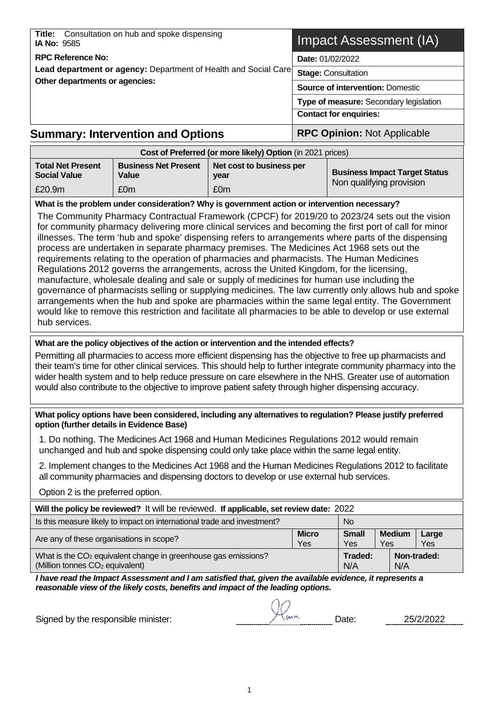| Title: Consultation on hub and spoke dispensing<br><b>IA No: 9585</b> | Impact Assessment (IA)                  |  |  |
|-----------------------------------------------------------------------|-----------------------------------------|--|--|
| <b>RPC Reference No:</b>                                              | <b>Date: 01/02/2022</b>                 |  |  |
| Lead department or agency: Department of Health and Social Care       | <b>Stage: Consultation</b>              |  |  |
| Other departments or agencies:                                        | <b>Source of intervention: Domestic</b> |  |  |
|                                                                       | Type of measure: Secondary legislation  |  |  |
|                                                                       | <b>Contact for enquiries:</b>           |  |  |
| <b>Summary: Intervention and Options</b>                              | <b>RPC Opinion: Not Applicable</b>      |  |  |
| Cost of Preferred (or more likely) Option (in 2021 prices)            |                                         |  |  |

|                                                 |                                      | $\frac{1}{2}$                    |                                                                  |
|-------------------------------------------------|--------------------------------------|----------------------------------|------------------------------------------------------------------|
| <b>Total Net Present</b><br><b>Social Value</b> | <b>Business Net Present</b><br>Value | Net cost to business per<br>vear | <b>Business Impact Target Status</b><br>Non qualifying provision |
| £20.9m                                          | £0m                                  | £0m                              |                                                                  |

**What is the problem under consideration? Why is government action or intervention necessary?**

The Community Pharmacy Contractual Framework (CPCF) for 2019/20 to 2023/24 sets out the vision for community pharmacy delivering more clinical services and becoming the first port of call for minor illnesses. The term 'hub and spoke' dispensing refers to arrangements where parts of the dispensing process are undertaken in separate pharmacy premises. The Medicines Act 1968 sets out the requirements relating to the operation of pharmacies and pharmacists. The Human Medicines Regulations 2012 governs the arrangements, across the United Kingdom, for the licensing, manufacture, wholesale dealing and sale or supply of medicines for human use including the governance of pharmacists selling or supplying medicines. The law currently only allows hub and spoke arrangements when the hub and spoke are pharmacies within the same legal entity. The Government would like to remove this restriction and facilitate all pharmacies to be able to develop or use external hub services.

#### **What are the policy objectives of the action or intervention and the intended effects?**

Permitting all pharmacies to access more efficient dispensing has the objective to free up pharmacists and their team's time for other clinical services. This should help to further integrate community pharmacy into the wider health system and to help reduce pressure on care elsewhere in the NHS. Greater use of automation would also contribute to the objective to improve patient safety through higher dispensing accuracy.

#### **What policy options have been considered, including any alternatives to regulation? Please justify preferred option (further details in Evidence Base)**

1. Do nothing. The Medicines Act 1968 and Human Medicines Regulations 2012 would remain unchanged and hub and spoke dispensing could only take place within the same legal entity.

2. Implement changes to the Medicines Act 1968 and the Human Medicines Regulations 2012 to facilitate all community pharmacies and dispensing doctors to develop or use external hub services.

Option 2 is the preferred option.

| Will the policy be reviewed? It will be reviewed. If applicable, set review date: 2022                                    |                     |                     |                      |             |              |  |  |  |
|---------------------------------------------------------------------------------------------------------------------------|---------------------|---------------------|----------------------|-------------|--------------|--|--|--|
| Is this measure likely to impact on international trade and investment?<br><b>No</b>                                      |                     |                     |                      |             |              |  |  |  |
| Are any of these organisations in scope?                                                                                  | <b>Micro</b><br>Yes | <b>Small</b><br>Yes | <b>Medium</b><br>Yes |             | Large<br>Yes |  |  |  |
| What is the CO <sub>2</sub> equivalent change in greenhouse gas emissions?<br>(Million tonnes CO <sub>2</sub> equivalent) |                     | Traded:<br>N/A      | N/A                  | Non-traded: |              |  |  |  |

*I have read the Impact Assessment and I am satisfied that, given the available evidence, it represents a reasonable view of the likely costs, benefits and impact of the leading options.*

Signed by the responsible minister:  $\sqrt{1}$   $\mu$  Date: 25/2/2022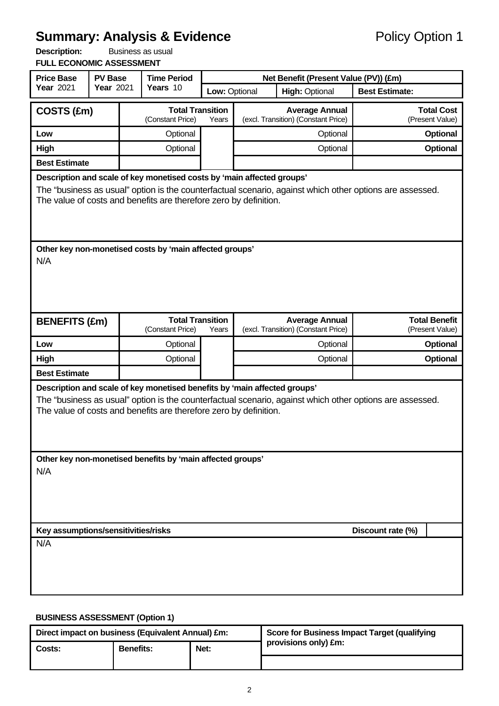# **Summary: Analysis & Evidence**<br> **Policy Option 1**<br>
Policy Option 1

| <b>Description:</b>             | Business as usual |
|---------------------------------|-------------------|
| <b>FULL ECONOMIC ASSESSMENT</b> |                   |

| <b>Price Base</b>                                                                                                                                                                                                                                       | <b>PV Base</b> |  | <b>Time Period</b>                                                                                                                             | Net Benefit (Present Value (PV)) (£m) |                                        |                                                                                                          |                       |                                         |  |
|---------------------------------------------------------------------------------------------------------------------------------------------------------------------------------------------------------------------------------------------------------|----------------|--|------------------------------------------------------------------------------------------------------------------------------------------------|---------------------------------------|----------------------------------------|----------------------------------------------------------------------------------------------------------|-----------------------|-----------------------------------------|--|
| Year 2021                                                                                                                                                                                                                                               | Year 2021      |  | Years 10                                                                                                                                       |                                       | <b>High: Optional</b><br>Low: Optional |                                                                                                          | <b>Best Estimate:</b> |                                         |  |
| COSTS (£m)                                                                                                                                                                                                                                              |                |  | <b>Total Transition</b><br>(Constant Price)                                                                                                    | Years                                 |                                        | <b>Average Annual</b><br>(excl. Transition) (Constant Price)                                             |                       | <b>Total Cost</b><br>(Present Value)    |  |
| Low                                                                                                                                                                                                                                                     |                |  | Optional                                                                                                                                       |                                       |                                        | Optional                                                                                                 |                       | Optional                                |  |
| High                                                                                                                                                                                                                                                    |                |  | Optional                                                                                                                                       |                                       |                                        | Optional                                                                                                 |                       | Optional                                |  |
| <b>Best Estimate</b>                                                                                                                                                                                                                                    |                |  |                                                                                                                                                |                                       |                                        |                                                                                                          |                       |                                         |  |
| Description and scale of key monetised costs by 'main affected groups'<br>The "business as usual" option is the counterfactual scenario, against which other options are assessed.<br>The value of costs and benefits are therefore zero by definition. |                |  |                                                                                                                                                |                                       |                                        |                                                                                                          |                       |                                         |  |
| N/A                                                                                                                                                                                                                                                     |                |  | Other key non-monetised costs by 'main affected groups'                                                                                        |                                       |                                        |                                                                                                          |                       |                                         |  |
| <b>BENEFITS (£m)</b>                                                                                                                                                                                                                                    |                |  | <b>Total Transition</b><br>(Constant Price)                                                                                                    | Years                                 |                                        | <b>Average Annual</b><br>(excl. Transition) (Constant Price)                                             |                       | <b>Total Benefit</b><br>(Present Value) |  |
| Low                                                                                                                                                                                                                                                     |                |  | Optional                                                                                                                                       |                                       |                                        | Optional                                                                                                 | Optional              |                                         |  |
| High                                                                                                                                                                                                                                                    |                |  | Optional                                                                                                                                       |                                       |                                        | Optional                                                                                                 |                       | Optional                                |  |
| <b>Best Estimate</b>                                                                                                                                                                                                                                    |                |  |                                                                                                                                                |                                       |                                        |                                                                                                          |                       |                                         |  |
|                                                                                                                                                                                                                                                         |                |  | Description and scale of key monetised benefits by 'main affected groups'<br>The value of costs and benefits are therefore zero by definition. |                                       |                                        | The "business as usual" option is the counterfactual scenario, against which other options are assessed. |                       |                                         |  |
| Other key non-monetised benefits by 'main affected groups'<br>N/A                                                                                                                                                                                       |                |  |                                                                                                                                                |                                       |                                        |                                                                                                          |                       |                                         |  |
|                                                                                                                                                                                                                                                         |                |  |                                                                                                                                                |                                       |                                        |                                                                                                          | Discount rate (%)     |                                         |  |
| Key assumptions/sensitivities/risks<br>N/A                                                                                                                                                                                                              |                |  |                                                                                                                                                |                                       |                                        |                                                                                                          |                       |                                         |  |

### **BUSINESS ASSESSMENT (Option 1)**

| Direct impact on business (Equivalent Annual) £m: |                  |      | Score for Business Impact Target (qualifying |
|---------------------------------------------------|------------------|------|----------------------------------------------|
| Costs:                                            | <b>Benefits:</b> | Net: | provisions only) £m:                         |
|                                                   |                  |      |                                              |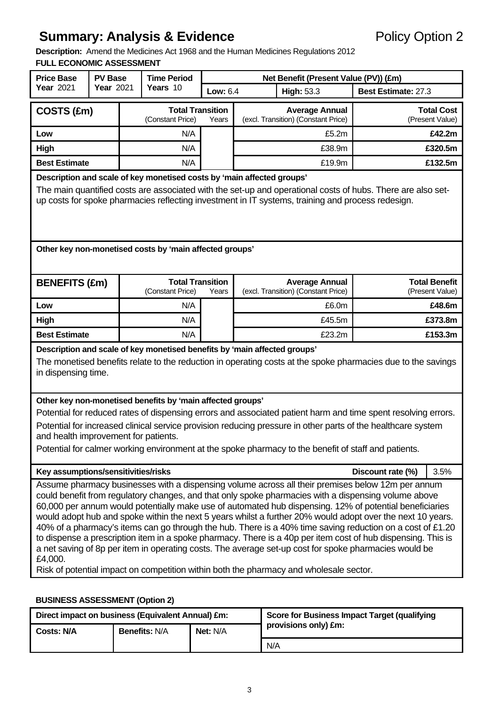# **Summary: Analysis & Evidence** Policy Option 2

**Description:** Amend the Medicines Act 1968 and the Human Medicines Regulations 2012 **FULL ECONOMIC ASSESSMENT**

| <b>Price Base</b>                                                                                                                                                                                                                                                                                                                                     | <b>PV Base</b> |  | <b>Time Period</b>                                         | Net Benefit (Present Value (PV)) (£m) |                                                                                                                                                                                                                                                                                                                                                                                                                                                                                                                                                                                                                                                                                                                                                                                                                                                                    |                     |                                         |  |  |  |
|-------------------------------------------------------------------------------------------------------------------------------------------------------------------------------------------------------------------------------------------------------------------------------------------------------------------------------------------------------|----------------|--|------------------------------------------------------------|---------------------------------------|--------------------------------------------------------------------------------------------------------------------------------------------------------------------------------------------------------------------------------------------------------------------------------------------------------------------------------------------------------------------------------------------------------------------------------------------------------------------------------------------------------------------------------------------------------------------------------------------------------------------------------------------------------------------------------------------------------------------------------------------------------------------------------------------------------------------------------------------------------------------|---------------------|-----------------------------------------|--|--|--|
| Year 2021                                                                                                                                                                                                                                                                                                                                             | Year 2021      |  | Years 10                                                   | Low: 6.4                              | <b>High: 53.3</b>                                                                                                                                                                                                                                                                                                                                                                                                                                                                                                                                                                                                                                                                                                                                                                                                                                                  | Best Estimate: 27.3 |                                         |  |  |  |
| COSTS (£m)                                                                                                                                                                                                                                                                                                                                            |                |  | <b>Total Transition</b><br>(Constant Price)                | Years                                 | <b>Average Annual</b><br>(excl. Transition) (Constant Price)                                                                                                                                                                                                                                                                                                                                                                                                                                                                                                                                                                                                                                                                                                                                                                                                       |                     | <b>Total Cost</b><br>(Present Value)    |  |  |  |
| Low                                                                                                                                                                                                                                                                                                                                                   |                |  | N/A                                                        |                                       | £5.2m                                                                                                                                                                                                                                                                                                                                                                                                                                                                                                                                                                                                                                                                                                                                                                                                                                                              | £42.2m              |                                         |  |  |  |
| High                                                                                                                                                                                                                                                                                                                                                  |                |  | N/A                                                        |                                       | £38.9m                                                                                                                                                                                                                                                                                                                                                                                                                                                                                                                                                                                                                                                                                                                                                                                                                                                             |                     | £320.5m                                 |  |  |  |
| <b>Best Estimate</b>                                                                                                                                                                                                                                                                                                                                  |                |  | N/A                                                        |                                       | £19.9m                                                                                                                                                                                                                                                                                                                                                                                                                                                                                                                                                                                                                                                                                                                                                                                                                                                             |                     | £132.5m                                 |  |  |  |
| Description and scale of key monetised costs by 'main affected groups'<br>The main quantified costs are associated with the set-up and operational costs of hubs. There are also set-<br>up costs for spoke pharmacies reflecting investment in IT systems, training and process redesign.<br>Other key non-monetised costs by 'main affected groups' |                |  |                                                            |                                       |                                                                                                                                                                                                                                                                                                                                                                                                                                                                                                                                                                                                                                                                                                                                                                                                                                                                    |                     |                                         |  |  |  |
|                                                                                                                                                                                                                                                                                                                                                       |                |  |                                                            |                                       |                                                                                                                                                                                                                                                                                                                                                                                                                                                                                                                                                                                                                                                                                                                                                                                                                                                                    |                     |                                         |  |  |  |
| <b>BENEFITS (£m)</b>                                                                                                                                                                                                                                                                                                                                  |                |  | <b>Total Transition</b><br>(Constant Price)                | Years                                 | <b>Average Annual</b><br>(excl. Transition) (Constant Price)                                                                                                                                                                                                                                                                                                                                                                                                                                                                                                                                                                                                                                                                                                                                                                                                       |                     | <b>Total Benefit</b><br>(Present Value) |  |  |  |
| Low                                                                                                                                                                                                                                                                                                                                                   |                |  | N/A                                                        |                                       | £6.0m                                                                                                                                                                                                                                                                                                                                                                                                                                                                                                                                                                                                                                                                                                                                                                                                                                                              |                     | £48.6m                                  |  |  |  |
| High                                                                                                                                                                                                                                                                                                                                                  |                |  | N/A                                                        |                                       | £45.5m                                                                                                                                                                                                                                                                                                                                                                                                                                                                                                                                                                                                                                                                                                                                                                                                                                                             |                     | £373.8m                                 |  |  |  |
| <b>Best Estimate</b>                                                                                                                                                                                                                                                                                                                                  |                |  | N/A                                                        |                                       | £23.2m                                                                                                                                                                                                                                                                                                                                                                                                                                                                                                                                                                                                                                                                                                                                                                                                                                                             |                     | £153.3m                                 |  |  |  |
| in dispensing time.                                                                                                                                                                                                                                                                                                                                   |                |  | Other key non-monetised benefits by 'main affected groups' |                                       | Description and scale of key monetised benefits by 'main affected groups'<br>The monetised benefits relate to the reduction in operating costs at the spoke pharmacies due to the savings                                                                                                                                                                                                                                                                                                                                                                                                                                                                                                                                                                                                                                                                          |                     |                                         |  |  |  |
| and health improvement for patients.                                                                                                                                                                                                                                                                                                                  |                |  |                                                            |                                       | Potential for reduced rates of dispensing errors and associated patient harm and time spent resolving errors.<br>Potential for increased clinical service provision reducing pressure in other parts of the healthcare system<br>Potential for calmer working environment at the spoke pharmacy to the benefit of staff and patients.                                                                                                                                                                                                                                                                                                                                                                                                                                                                                                                              |                     |                                         |  |  |  |
| Key assumptions/sensitivities/risks                                                                                                                                                                                                                                                                                                                   |                |  |                                                            |                                       |                                                                                                                                                                                                                                                                                                                                                                                                                                                                                                                                                                                                                                                                                                                                                                                                                                                                    | Discount rate (%)   | 3.5%                                    |  |  |  |
| £4,000.                                                                                                                                                                                                                                                                                                                                               |                |  |                                                            |                                       | Assume pharmacy businesses with a dispensing volume across all their premises below 12m per annum<br>could benefit from regulatory changes, and that only spoke pharmacies with a dispensing volume above<br>60,000 per annum would potentially make use of automated hub dispensing. 12% of potential beneficiaries<br>would adopt hub and spoke within the next 5 years whilst a further 20% would adopt over the next 10 years.<br>40% of a pharmacy's items can go through the hub. There is a 40% time saving reduction on a cost of £1.20<br>to dispense a prescription item in a spoke pharmacy. There is a 40p per item cost of hub dispensing. This is<br>a net saving of 8p per item in operating costs. The average set-up cost for spoke pharmacies would be<br>Risk of potential impact on competition within both the pharmacy and wholesale sector. |                     |                                         |  |  |  |

#### **BUSINESS ASSESSMENT (Option 2)**

| Direct impact on business (Equivalent Annual) £m: |                      |                 | <b>Score for Business Impact Target (qualifying</b> |
|---------------------------------------------------|----------------------|-----------------|-----------------------------------------------------|
| <b>Costs: N/A</b>                                 | <b>Benefits: N/A</b> | <b>Net: N/A</b> | provisions only) £m:                                |
|                                                   |                      |                 | N/A                                                 |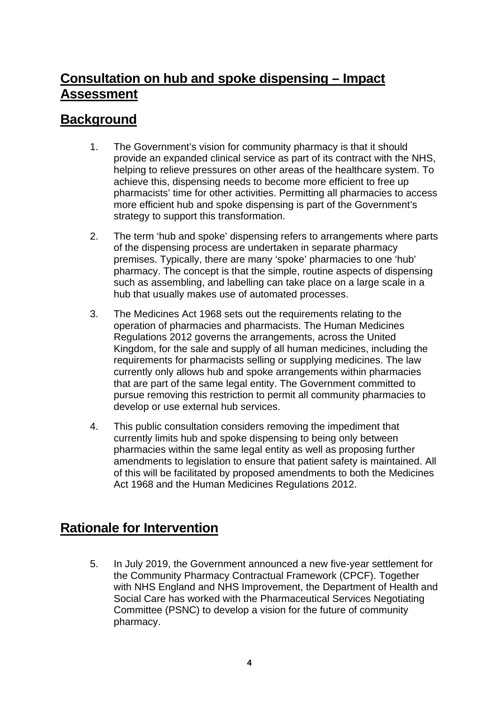# **Consultation on hub and spoke dispensing – Impact Assessment**

# **Background**

- 1. The Government's vision for community pharmacy is that it should provide an expanded clinical service as part of its contract with the NHS, helping to relieve pressures on other areas of the healthcare system. To achieve this, dispensing needs to become more efficient to free up pharmacists' time for other activities. Permitting all pharmacies to access more efficient hub and spoke dispensing is part of the Government's strategy to support this transformation.
- 2. The term 'hub and spoke' dispensing refers to arrangements where parts of the dispensing process are undertaken in separate pharmacy premises. Typically, there are many 'spoke' pharmacies to one 'hub' pharmacy. The concept is that the simple, routine aspects of dispensing such as assembling, and labelling can take place on a large scale in a hub that usually makes use of automated processes.
- 3. The Medicines Act 1968 sets out the requirements relating to the operation of pharmacies and pharmacists. The Human Medicines Regulations 2012 governs the arrangements, across the United Kingdom, for the sale and supply of all human medicines, including the requirements for pharmacists selling or supplying medicines. The law currently only allows hub and spoke arrangements within pharmacies that are part of the same legal entity. The Government committed to pursue removing this restriction to permit all community pharmacies to develop or use external hub services.
- 4. This public consultation considers removing the impediment that currently limits hub and spoke dispensing to being only between pharmacies within the same legal entity as well as proposing further amendments to legislation to ensure that patient safety is maintained. All of this will be facilitated by proposed amendments to both the Medicines Act 1968 and the Human Medicines Regulations 2012.

# **Rationale for Intervention**

5. In July 2019, the Government announced a new five-year settlement for the Community Pharmacy Contractual Framework (CPCF). Together with NHS England and NHS Improvement, the Department of Health and Social Care has worked with the Pharmaceutical Services Negotiating Committee (PSNC) to develop a vision for the future of community pharmacy.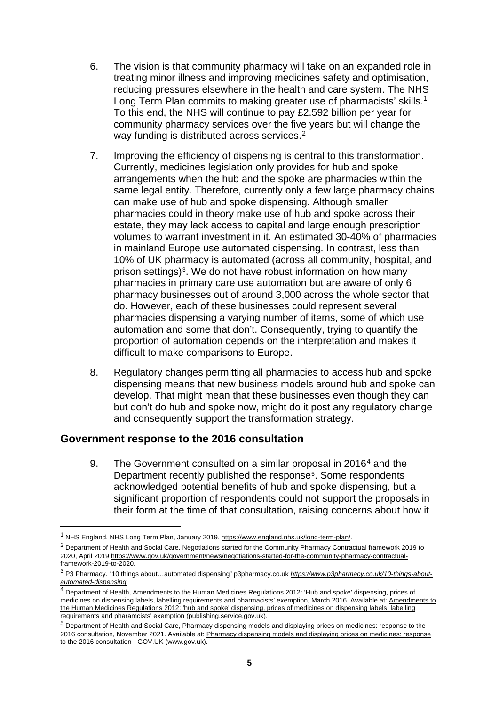- 6. The vision is that community pharmacy will take on an expanded role in treating minor illness and improving medicines safety and optimisation, reducing pressures elsewhere in the health and care system. The NHS Long Term Plan commits to making greater use of pharmacists' skills.<sup>[1](#page-4-0)</sup> To this end, the NHS will continue to pay £2.592 billion per year for community pharmacy services over the five years but will change the way funding is distributed across services.<sup>[2](#page-4-1)</sup>
- 7. Improving the efficiency of dispensing is central to this transformation. Currently, medicines legislation only provides for hub and spoke arrangements when the hub and the spoke are pharmacies within the same legal entity. Therefore, currently only a few large pharmacy chains can make use of hub and spoke dispensing. Although smaller pharmacies could in theory make use of hub and spoke across their estate, they may lack access to capital and large enough prescription volumes to warrant investment in it. An estimated 30-40% of pharmacies in mainland Europe use automated dispensing. In contrast, less than 10% of UK pharmacy is automated (across all community, hospital, and prison settings)<sup>3</sup>. We do not have robust information on how many pharmacies in primary care use automation but are aware of only 6 pharmacy businesses out of around 3,000 across the whole sector that do. However, each of these businesses could represent several pharmacies dispensing a varying number of items, some of which use automation and some that don't. Consequently, trying to quantify the proportion of automation depends on the interpretation and makes it difficult to make comparisons to Europe.
- 8. Regulatory changes permitting all pharmacies to access hub and spoke dispensing means that new business models around hub and spoke can develop. That might mean that these businesses even though they can but don't do hub and spoke now, might do it post any regulatory change and consequently support the transformation strategy.

# **Government response to the 2016 consultation**

9. The Government consulted on a similar proposal in 2016<sup>[4](#page-4-3)</sup> and the Department recently published the response<sup>5</sup>. Some respondents acknowledged potential benefits of hub and spoke dispensing, but a significant proportion of respondents could not support the proposals in their form at the time of that consultation, raising concerns about how it

<span id="page-4-0"></span><sup>1</sup> NHS England, NHS Long Term Plan, January 2019[. https://www.england.nhs.uk/long-term-plan/.](https://www.england.nhs.uk/long-term-plan/) 

<span id="page-4-1"></span><sup>&</sup>lt;sup>2</sup> Department of Health and Social Care. Negotiations started for the Community Pharmacy Contractual framework 2019 to 2020, April 201[9 https://www.gov.uk/government/news/negotiations-started-for-the-community-pharmacy-contractual](https://www.gov.uk/government/news/negotiations-started-for-the-community-pharmacy-contractual-framework-2019-to-2020)[framework-2019-to-2020.](https://www.gov.uk/government/news/negotiations-started-for-the-community-pharmacy-contractual-framework-2019-to-2020) 

<span id="page-4-2"></span><sup>3</sup> P3 Pharmacy. "10 things about…automated dispensing" p3pharmacy.co.uk *[https://www.p3pharmacy.co.uk/10-things-about](https://www.p3pharmacy.co.uk/10-things-about-automated-dispensing)[automated-dispensing](https://www.p3pharmacy.co.uk/10-things-about-automated-dispensing)*

<span id="page-4-3"></span><sup>4</sup> Department of Health, Amendments to the Human Medicines Regulations 2012: 'Hub and spoke' dispensing, prices of medicines on dispensing labels, labelling requirements and pharmacists' exemption, March 2016. Available at: [Amendments to](https://assets.publishing.service.gov.uk/government/uploads/system/uploads/attachment_data/file/514867/Consultation_doc_HMR2016.pdf)  [the Human Medicines Regulations 2012: 'hub and spoke' dispensing, prices of medicines on dispensing labels, labelling](https://assets.publishing.service.gov.uk/government/uploads/system/uploads/attachment_data/file/514867/Consultation_doc_HMR2016.pdf)  [requirements and pharamcists' exemption \(publishing.service.gov.uk\).](https://assets.publishing.service.gov.uk/government/uploads/system/uploads/attachment_data/file/514867/Consultation_doc_HMR2016.pdf)

<span id="page-4-4"></span><sup>5</sup> Department of Health and Social Care, Pharmacy dispensing models and displaying prices on medicines: response to the 2016 consultation, November 2021. Available at: Pharmacy dispensing models and displaying prices on medicines: response to the 2016 consultation - GOV.UK (www.gov.uk).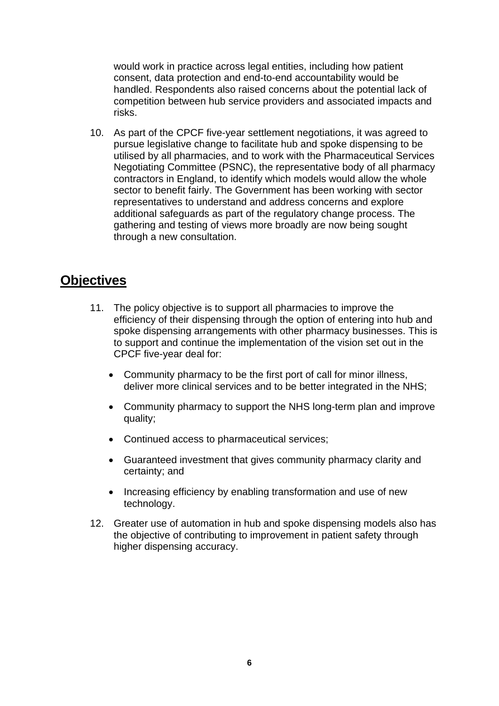would work in practice across legal entities, including how patient consent, data protection and end-to-end accountability would be handled. Respondents also raised concerns about the potential lack of competition between hub service providers and associated impacts and risks.

10. As part of the CPCF five-year settlement negotiations, it was agreed to pursue legislative change to facilitate hub and spoke dispensing to be utilised by all pharmacies, and to work with the Pharmaceutical Services Negotiating Committee (PSNC), the representative body of all pharmacy contractors in England, to identify which models would allow the whole sector to benefit fairly. The Government has been working with sector representatives to understand and address concerns and explore additional safeguards as part of the regulatory change process. The gathering and testing of views more broadly are now being sought through a new consultation.

# **Objectives**

- 11. The policy objective is to support all pharmacies to improve the efficiency of their dispensing through the option of entering into hub and spoke dispensing arrangements with other pharmacy businesses. This is to support and continue the implementation of the vision set out in the CPCF five-year deal for:
	- Community pharmacy to be the first port of call for minor illness, deliver more clinical services and to be better integrated in the NHS;
	- Community pharmacy to support the NHS long-term plan and improve quality;
	- Continued access to pharmaceutical services;
	- Guaranteed investment that gives community pharmacy clarity and certainty; and
	- Increasing efficiency by enabling transformation and use of new technology.
- 12. Greater use of automation in hub and spoke dispensing models also has the objective of contributing to improvement in patient safety through higher dispensing accuracy.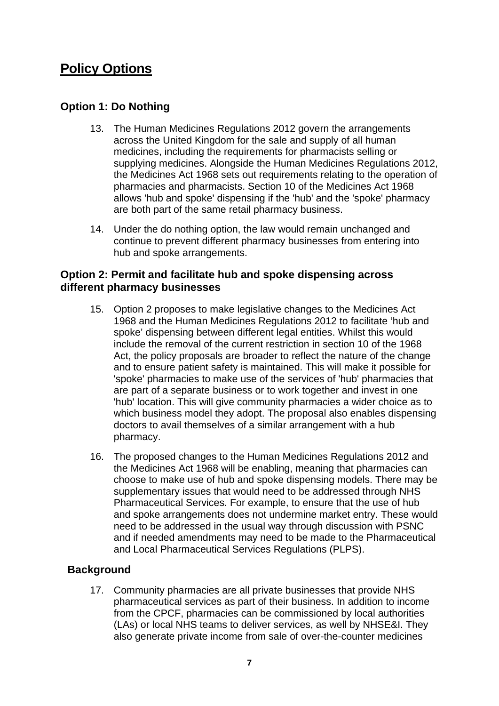# **Policy Options**

# **Option 1: Do Nothing**

- 13. The Human Medicines Regulations 2012 govern the arrangements across the United Kingdom for the sale and supply of all human medicines, including the requirements for pharmacists selling or supplying medicines. Alongside the Human Medicines Regulations 2012, the Medicines Act 1968 sets out requirements relating to the operation of pharmacies and pharmacists. Section 10 of the Medicines Act 1968 allows 'hub and spoke' dispensing if the 'hub' and the 'spoke' pharmacy are both part of the same retail pharmacy business.
- 14. Under the do nothing option, the law would remain unchanged and continue to prevent different pharmacy businesses from entering into hub and spoke arrangements.

# **Option 2: Permit and facilitate hub and spoke dispensing across different pharmacy businesses**

- 15. Option 2 proposes to make legislative changes to the Medicines Act 1968 and the Human Medicines Regulations 2012 to facilitate 'hub and spoke' dispensing between different legal entities. Whilst this would include the removal of the current restriction in section 10 of the 1968 Act, the policy proposals are broader to reflect the nature of the change and to ensure patient safety is maintained. This will make it possible for 'spoke' pharmacies to make use of the services of 'hub' pharmacies that are part of a separate business or to work together and invest in one 'hub' location. This will give community pharmacies a wider choice as to which business model they adopt. The proposal also enables dispensing doctors to avail themselves of a similar arrangement with a hub pharmacy.
- 16. The proposed changes to the Human Medicines Regulations 2012 and the Medicines Act 1968 will be enabling, meaning that pharmacies can choose to make use of hub and spoke dispensing models. There may be supplementary issues that would need to be addressed through NHS Pharmaceutical Services. For example, to ensure that the use of hub and spoke arrangements does not undermine market entry. These would need to be addressed in the usual way through discussion with PSNC and if needed amendments may need to be made to the Pharmaceutical and Local Pharmaceutical Services Regulations (PLPS).

# **Background**

17. Community pharmacies are all private businesses that provide NHS pharmaceutical services as part of their business. In addition to income from the CPCF, pharmacies can be commissioned by local authorities (LAs) or local NHS teams to deliver services, as well by NHSE&I. They also generate private income from sale of over-the-counter medicines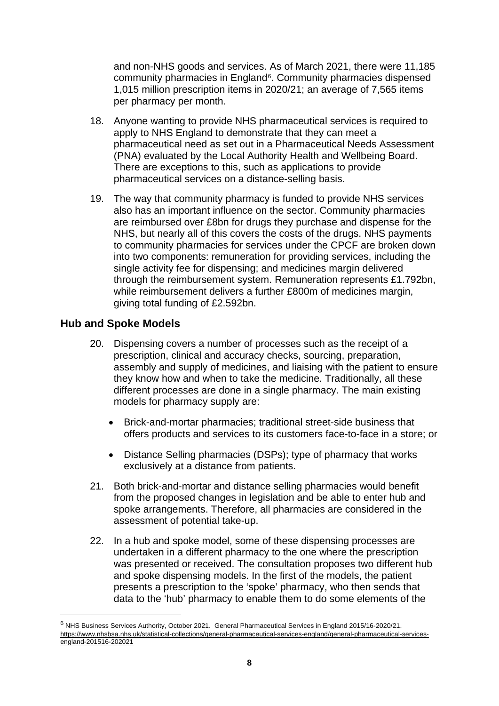and non-NHS goods and services. As of March 2021, there were 11,185 community pharmacies in England<sup>6</sup>. Community pharmacies dispensed 1,015 million prescription items in 2020/21; an average of 7,565 items per pharmacy per month.

- 18. Anyone wanting to provide NHS pharmaceutical services is required to apply to NHS England to demonstrate that they can meet a pharmaceutical need as set out in a Pharmaceutical Needs Assessment (PNA) evaluated by the Local Authority Health and Wellbeing Board. There are exceptions to this, such as applications to provide pharmaceutical services on a distance-selling basis.
- 19. The way that community pharmacy is funded to provide NHS services also has an important influence on the sector. Community pharmacies are reimbursed over £8bn for drugs they purchase and dispense for the NHS, but nearly all of this covers the costs of the drugs. NHS payments to community pharmacies for services under the CPCF are broken down into two components: remuneration for providing services, including the single activity fee for dispensing; and medicines margin delivered through the reimbursement system. Remuneration represents £1.792bn, while reimbursement delivers a further £800m of medicines margin, giving total funding of £2.592bn.

### **Hub and Spoke Models**

- 20. Dispensing covers a number of processes such as the receipt of a prescription, clinical and accuracy checks, sourcing, preparation, assembly and supply of medicines, and liaising with the patient to ensure they know how and when to take the medicine. Traditionally, all these different processes are done in a single pharmacy. The main existing models for pharmacy supply are:
	- Brick-and-mortar pharmacies; traditional street-side business that offers products and services to its customers face-to-face in a store; or
	- Distance Selling pharmacies (DSPs); type of pharmacy that works exclusively at a distance from patients.
- 21. Both brick-and-mortar and distance selling pharmacies would benefit from the proposed changes in legislation and be able to enter hub and spoke arrangements. Therefore, all pharmacies are considered in the assessment of potential take-up.
- 22. In a hub and spoke model, some of these dispensing processes are undertaken in a different pharmacy to the one where the prescription was presented or received. The consultation proposes two different hub and spoke dispensing models. In the first of the models, the patient presents a prescription to the 'spoke' pharmacy, who then sends that data to the 'hub' pharmacy to enable them to do some elements of the

<span id="page-7-0"></span><sup>6</sup> NHS Business Services Authority, October 2021. General Pharmaceutical Services in England 2015/16-2020/21. [https://www.nhsbsa.nhs.uk/statistical-collections/general-pharmaceutical-services-england/general-pharmaceutical-services](https://www.nhsbsa.nhs.uk/statistical-collections/general-pharmaceutical-services-england/general-pharmaceutical-services-england-201516-202021)[england-201516-202021](https://www.nhsbsa.nhs.uk/statistical-collections/general-pharmaceutical-services-england/general-pharmaceutical-services-england-201516-202021)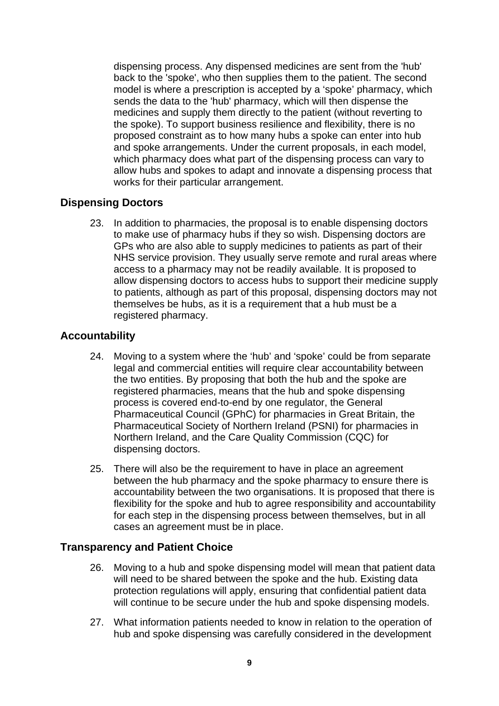dispensing process. Any dispensed medicines are sent from the 'hub' back to the 'spoke', who then supplies them to the patient. The second model is where a prescription is accepted by a 'spoke' pharmacy, which sends the data to the 'hub' pharmacy, which will then dispense the medicines and supply them directly to the patient (without reverting to the spoke). To support business resilience and flexibility, there is no proposed constraint as to how many hubs a spoke can enter into hub and spoke arrangements. Under the current proposals, in each model, which pharmacy does what part of the dispensing process can vary to allow hubs and spokes to adapt and innovate a dispensing process that works for their particular arrangement.

# **Dispensing Doctors**

23. In addition to pharmacies, the proposal is to enable dispensing doctors to make use of pharmacy hubs if they so wish. Dispensing doctors are GPs who are also able to supply medicines to patients as part of their NHS service provision. They usually serve remote and rural areas where access to a pharmacy may not be readily available. It is proposed to allow dispensing doctors to access hubs to support their medicine supply to patients, although as part of this proposal, dispensing doctors may not themselves be hubs, as it is a requirement that a hub must be a registered pharmacy.

# **Accountability**

- 24. Moving to a system where the 'hub' and 'spoke' could be from separate legal and commercial entities will require clear accountability between the two entities. By proposing that both the hub and the spoke are registered pharmacies, means that the hub and spoke dispensing process is covered end-to-end by one regulator, the General Pharmaceutical Council (GPhC) for pharmacies in Great Britain, the Pharmaceutical Society of Northern Ireland (PSNI) for pharmacies in Northern Ireland, and the Care Quality Commission (CQC) for dispensing doctors.
- 25. There will also be the requirement to have in place an agreement between the hub pharmacy and the spoke pharmacy to ensure there is accountability between the two organisations. It is proposed that there is flexibility for the spoke and hub to agree responsibility and accountability for each step in the dispensing process between themselves, but in all cases an agreement must be in place.

# **Transparency and Patient Choice**

- 26. Moving to a hub and spoke dispensing model will mean that patient data will need to be shared between the spoke and the hub. Existing data protection regulations will apply, ensuring that confidential patient data will continue to be secure under the hub and spoke dispensing models.
- 27. What information patients needed to know in relation to the operation of hub and spoke dispensing was carefully considered in the development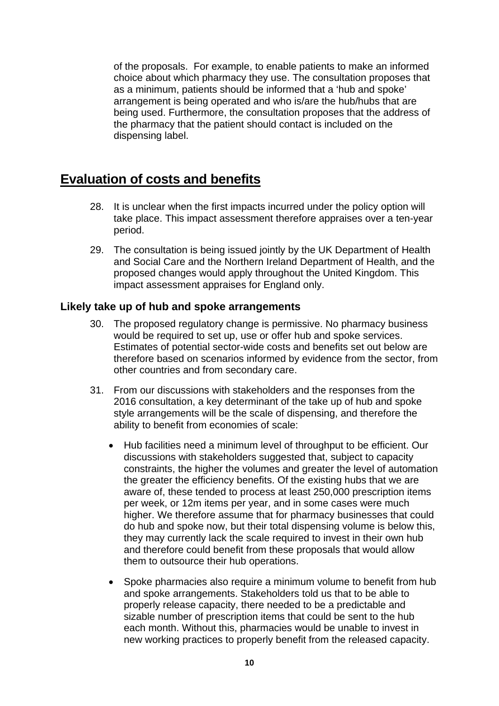of the proposals. For example, to enable patients to make an informed choice about which pharmacy they use. The consultation proposes that as a minimum, patients should be informed that a 'hub and spoke' arrangement is being operated and who is/are the hub/hubs that are being used. Furthermore, the consultation proposes that the address of the pharmacy that the patient should contact is included on the dispensing label.

# **Evaluation of costs and benefits**

- 28. It is unclear when the first impacts incurred under the policy option will take place. This impact assessment therefore appraises over a ten-year period.
- 29. The consultation is being issued jointly by the UK Department of Health and Social Care and the Northern Ireland Department of Health, and the proposed changes would apply throughout the United Kingdom. This impact assessment appraises for England only.

# **Likely take up of hub and spoke arrangements**

- 30. The proposed regulatory change is permissive. No pharmacy business would be required to set up, use or offer hub and spoke services. Estimates of potential sector-wide costs and benefits set out below are therefore based on scenarios informed by evidence from the sector, from other countries and from secondary care.
- 31. From our discussions with stakeholders and the responses from the 2016 consultation, a key determinant of the take up of hub and spoke style arrangements will be the scale of dispensing, and therefore the ability to benefit from economies of scale:
	- Hub facilities need a minimum level of throughput to be efficient. Our discussions with stakeholders suggested that, subject to capacity constraints, the higher the volumes and greater the level of automation the greater the efficiency benefits. Of the existing hubs that we are aware of, these tended to process at least 250,000 prescription items per week, or 12m items per year, and in some cases were much higher. We therefore assume that for pharmacy businesses that could do hub and spoke now, but their total dispensing volume is below this, they may currently lack the scale required to invest in their own hub and therefore could benefit from these proposals that would allow them to outsource their hub operations.
	- Spoke pharmacies also require a minimum volume to benefit from hub and spoke arrangements. Stakeholders told us that to be able to properly release capacity, there needed to be a predictable and sizable number of prescription items that could be sent to the hub each month. Without this, pharmacies would be unable to invest in new working practices to properly benefit from the released capacity.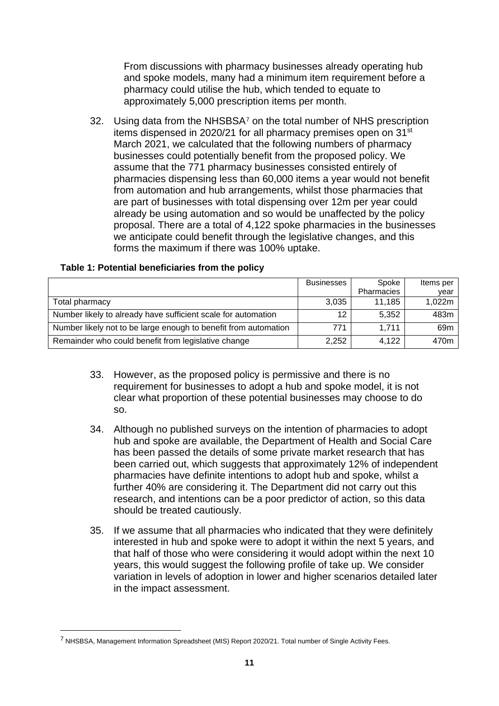From discussions with pharmacy businesses already operating hub and spoke models, many had a minimum item requirement before a pharmacy could utilise the hub, which tended to equate to approximately 5,000 prescription items per month.

32. Using data from the NHSBSA<sup>[7](#page-10-0)</sup> on the total number of NHS prescription items dispensed in 2020/21 for all pharmacy premises open on 31<sup>st</sup> March 2021, we calculated that the following numbers of pharmacy businesses could potentially benefit from the proposed policy. We assume that the 771 pharmacy businesses consisted entirely of pharmacies dispensing less than 60,000 items a year would not benefit from automation and hub arrangements, whilst those pharmacies that are part of businesses with total dispensing over 12m per year could already be using automation and so would be unaffected by the policy proposal. There are a total of 4,122 spoke pharmacies in the businesses we anticipate could benefit through the legislative changes, and this forms the maximum if there was 100% uptake.

|                                                                 | <b>Businesses</b> | Spoke      | Items per       |
|-----------------------------------------------------------------|-------------------|------------|-----------------|
|                                                                 |                   | Pharmacies | vear            |
| Total pharmacy                                                  | 3,035             | 11.185     | 1,022m          |
| Number likely to already have sufficient scale for automation   | 12                | 5.352      | 483m            |
| Number likely not to be large enough to benefit from automation | 771               | 1.711      | 69 <sub>m</sub> |
| Remainder who could benefit from legislative change             | 2,252             | 4.122      | 470m            |

#### **Table 1: Potential beneficiaries from the policy**

- 33. However, as the proposed policy is permissive and there is no requirement for businesses to adopt a hub and spoke model, it is not clear what proportion of these potential businesses may choose to do so.
- 34. Although no published surveys on the intention of pharmacies to adopt hub and spoke are available, the Department of Health and Social Care has been passed the details of some private market research that has been carried out, which suggests that approximately 12% of independent pharmacies have definite intentions to adopt hub and spoke, whilst a further 40% are considering it. The Department did not carry out this research, and intentions can be a poor predictor of action, so this data should be treated cautiously.
- 35. If we assume that all pharmacies who indicated that they were definitely interested in hub and spoke were to adopt it within the next 5 years, and that half of those who were considering it would adopt within the next 10 years, this would suggest the following profile of take up. We consider variation in levels of adoption in lower and higher scenarios detailed later in the impact assessment.

<span id="page-10-0"></span><sup>7</sup> NHSBSA, Management Information Spreadsheet (MIS) Report 2020/21. Total number of Single Activity Fees.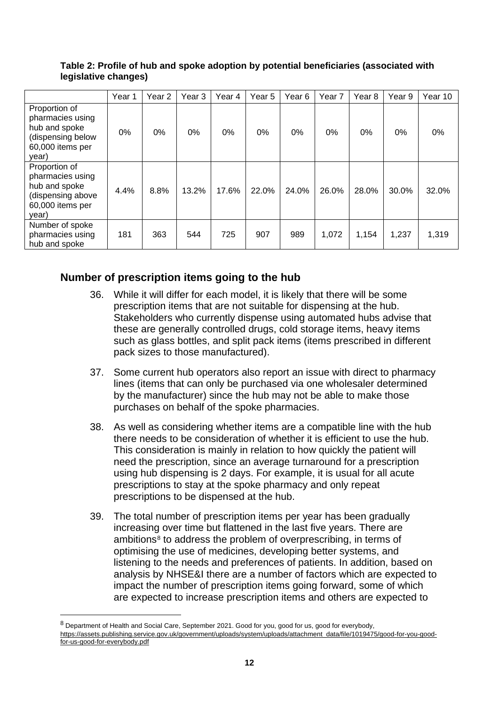|                                                                                                      | Year 1 | Year <sub>2</sub> | Year <sub>3</sub> | Year 4 | Year 5 | Year <sub>6</sub> | Year <sub>7</sub> | Year <sub>8</sub> | Year 9 | Year 10 |
|------------------------------------------------------------------------------------------------------|--------|-------------------|-------------------|--------|--------|-------------------|-------------------|-------------------|--------|---------|
| Proportion of<br>pharmacies using<br>hub and spoke<br>(dispensing below<br>60,000 items per<br>year) | 0%     | 0%                | 0%                | $0\%$  | $0\%$  | 0%                | 0%                | 0%                | 0%     | 0%      |
| Proportion of<br>pharmacies using<br>hub and spoke<br>(dispensing above<br>60,000 items per<br>year) | 4.4%   | 8.8%              | 13.2%             | 17.6%  | 22.0%  | 24.0%             | 26.0%             | 28.0%             | 30.0%  | 32.0%   |
| Number of spoke<br>pharmacies using<br>hub and spoke                                                 | 181    | 363               | 544               | 725    | 907    | 989               | 1,072             | 1,154             | 1,237  | 1,319   |

**Table 2: Profile of hub and spoke adoption by potential beneficiaries (associated with legislative changes)**

# **Number of prescription items going to the hub**

- 36. While it will differ for each model, it is likely that there will be some prescription items that are not suitable for dispensing at the hub. Stakeholders who currently dispense using automated hubs advise that these are generally controlled drugs, cold storage items, heavy items such as glass bottles, and split pack items (items prescribed in different pack sizes to those manufactured).
- 37. Some current hub operators also report an issue with direct to pharmacy lines (items that can only be purchased via one wholesaler determined by the manufacturer) since the hub may not be able to make those purchases on behalf of the spoke pharmacies.
- 38. As well as considering whether items are a compatible line with the hub there needs to be consideration of whether it is efficient to use the hub. This consideration is mainly in relation to how quickly the patient will need the prescription, since an average turnaround for a prescription using hub dispensing is 2 days. For example, it is usual for all acute prescriptions to stay at the spoke pharmacy and only repeat prescriptions to be dispensed at the hub.
- 39. The total number of prescription items per year has been gradually increasing over time but flattened in the last five years. There are ambitions<sup>[8](#page-11-0)</sup> to address the problem of overprescribing, in terms of optimising the use of medicines, developing better systems, and listening to the needs and preferences of patients. In addition, based on analysis by NHSE&I there are a number of factors which are expected to impact the number of prescription items going forward, some of which are expected to increase prescription items and others are expected to

<span id="page-11-0"></span><sup>&</sup>lt;sup>8</sup> Department of Health and Social Care, September 2021. Good for you, good for us, good for everybody, [https://assets.publishing.service.gov.uk/government/uploads/system/uploads/attachment\\_data/file/1019475/good-for-you-good](https://assets.publishing.service.gov.uk/government/uploads/system/uploads/attachment_data/file/1019475/good-for-you-good-for-us-good-for-everybody.pdf)[for-us-good-for-everybody.pdf](https://assets.publishing.service.gov.uk/government/uploads/system/uploads/attachment_data/file/1019475/good-for-you-good-for-us-good-for-everybody.pdf)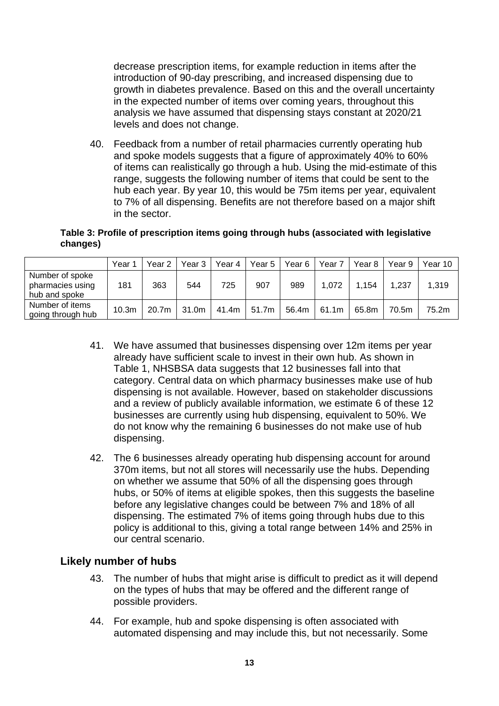decrease prescription items, for example reduction in items after the introduction of 90-day prescribing, and increased dispensing due to growth in diabetes prevalence. Based on this and the overall uncertainty in the expected number of items over coming years, throughout this analysis we have assumed that dispensing stays constant at 2020/21 levels and does not change.

40. Feedback from a number of retail pharmacies currently operating hub and spoke models suggests that a figure of approximately 40% to 60% of items can realistically go through a hub. Using the mid-estimate of this range, suggests the following number of items that could be sent to the hub each year. By year 10, this would be 75m items per year, equivalent to 7% of all dispensing. Benefits are not therefore based on a major shift in the sector.

#### **Table 3: Profile of prescription items going through hubs (associated with legislative changes)**

|                                                      | Year              | Year 2            | Year 3 | Year 4 | Year 5 | Year 6 | Year <sub>7</sub> | Year 8 | Year 9 | Year 10 |
|------------------------------------------------------|-------------------|-------------------|--------|--------|--------|--------|-------------------|--------|--------|---------|
| Number of spoke<br>pharmacies using<br>hub and spoke | 181               | 363               | 544    | 725    | 907    | 989    | 1.072             | 1.154  | 1,237  | 1,319   |
| Number of items<br>going through hub                 | 10.3 <sub>m</sub> | 20.7 <sub>m</sub> | 31.0m  | 41.4m  | 51.7m  | 56.4m  | 61.1m             | 65.8m  | 70.5m  | 75.2m   |

- 41. We have assumed that businesses dispensing over 12m items per year already have sufficient scale to invest in their own hub. As shown in Table 1, NHSBSA data suggests that 12 businesses fall into that category. Central data on which pharmacy businesses make use of hub dispensing is not available. However, based on stakeholder discussions and a review of publicly available information, we estimate 6 of these 12 businesses are currently using hub dispensing, equivalent to 50%. We do not know why the remaining 6 businesses do not make use of hub dispensing.
- 42. The 6 businesses already operating hub dispensing account for around 370m items, but not all stores will necessarily use the hubs. Depending on whether we assume that 50% of all the dispensing goes through hubs, or 50% of items at eligible spokes, then this suggests the baseline before any legislative changes could be between 7% and 18% of all dispensing. The estimated 7% of items going through hubs due to this policy is additional to this, giving a total range between 14% and 25% in our central scenario.

# **Likely number of hubs**

- 43. The number of hubs that might arise is difficult to predict as it will depend on the types of hubs that may be offered and the different range of possible providers.
- 44. For example, hub and spoke dispensing is often associated with automated dispensing and may include this, but not necessarily. Some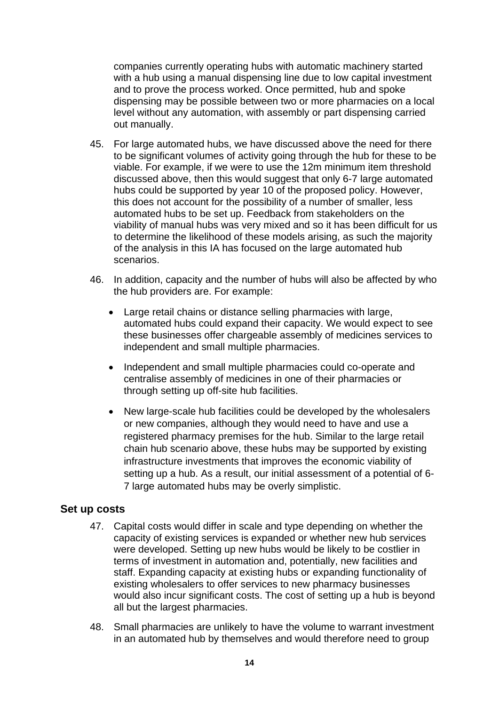companies currently operating hubs with automatic machinery started with a hub using a manual dispensing line due to low capital investment and to prove the process worked. Once permitted, hub and spoke dispensing may be possible between two or more pharmacies on a local level without any automation, with assembly or part dispensing carried out manually.

- 45. For large automated hubs, we have discussed above the need for there to be significant volumes of activity going through the hub for these to be viable. For example, if we were to use the 12m minimum item threshold discussed above, then this would suggest that only 6-7 large automated hubs could be supported by year 10 of the proposed policy. However, this does not account for the possibility of a number of smaller, less automated hubs to be set up. Feedback from stakeholders on the viability of manual hubs was very mixed and so it has been difficult for us to determine the likelihood of these models arising, as such the majority of the analysis in this IA has focused on the large automated hub scenarios.
- 46. In addition, capacity and the number of hubs will also be affected by who the hub providers are. For example:
	- Large retail chains or distance selling pharmacies with large, automated hubs could expand their capacity. We would expect to see these businesses offer chargeable assembly of medicines services to independent and small multiple pharmacies.
	- Independent and small multiple pharmacies could co-operate and centralise assembly of medicines in one of their pharmacies or through setting up off-site hub facilities.
	- New large-scale hub facilities could be developed by the wholesalers or new companies, although they would need to have and use a registered pharmacy premises for the hub. Similar to the large retail chain hub scenario above, these hubs may be supported by existing infrastructure investments that improves the economic viability of setting up a hub. As a result, our initial assessment of a potential of 6- 7 large automated hubs may be overly simplistic.

# **Set up costs**

- 47. Capital costs would differ in scale and type depending on whether the capacity of existing services is expanded or whether new hub services were developed. Setting up new hubs would be likely to be costlier in terms of investment in automation and, potentially, new facilities and staff. Expanding capacity at existing hubs or expanding functionality of existing wholesalers to offer services to new pharmacy businesses would also incur significant costs. The cost of setting up a hub is beyond all but the largest pharmacies.
- 48. Small pharmacies are unlikely to have the volume to warrant investment in an automated hub by themselves and would therefore need to group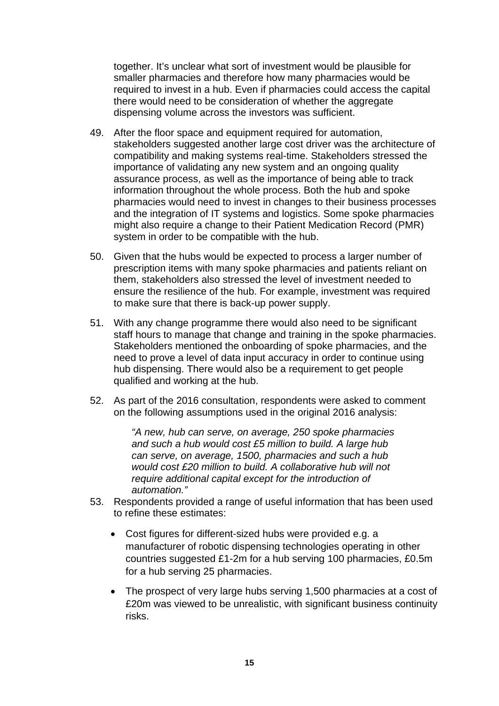together. It's unclear what sort of investment would be plausible for smaller pharmacies and therefore how many pharmacies would be required to invest in a hub. Even if pharmacies could access the capital there would need to be consideration of whether the aggregate dispensing volume across the investors was sufficient.

- 49. After the floor space and equipment required for automation, stakeholders suggested another large cost driver was the architecture of compatibility and making systems real-time. Stakeholders stressed the importance of validating any new system and an ongoing quality assurance process, as well as the importance of being able to track information throughout the whole process. Both the hub and spoke pharmacies would need to invest in changes to their business processes and the integration of IT systems and logistics. Some spoke pharmacies might also require a change to their Patient Medication Record (PMR) system in order to be compatible with the hub.
- 50. Given that the hubs would be expected to process a larger number of prescription items with many spoke pharmacies and patients reliant on them, stakeholders also stressed the level of investment needed to ensure the resilience of the hub. For example, investment was required to make sure that there is back-up power supply.
- 51. With any change programme there would also need to be significant staff hours to manage that change and training in the spoke pharmacies. Stakeholders mentioned the onboarding of spoke pharmacies, and the need to prove a level of data input accuracy in order to continue using hub dispensing. There would also be a requirement to get people qualified and working at the hub.
- 52. As part of the 2016 consultation, respondents were asked to comment on the following assumptions used in the original 2016 analysis:

*"A new, hub can serve, on average, 250 spoke pharmacies and such a hub would cost £5 million to build. A large hub can serve, on average, 1500, pharmacies and such a hub would cost £20 million to build. A collaborative hub will not require additional capital except for the introduction of automation."* 

- 53. Respondents provided a range of useful information that has been used to refine these estimates:
	- Cost figures for different-sized hubs were provided e.g. a manufacturer of robotic dispensing technologies operating in other countries suggested £1-2m for a hub serving 100 pharmacies, £0.5m for a hub serving 25 pharmacies.
	- The prospect of very large hubs serving 1,500 pharmacies at a cost of £20m was viewed to be unrealistic, with significant business continuity risks.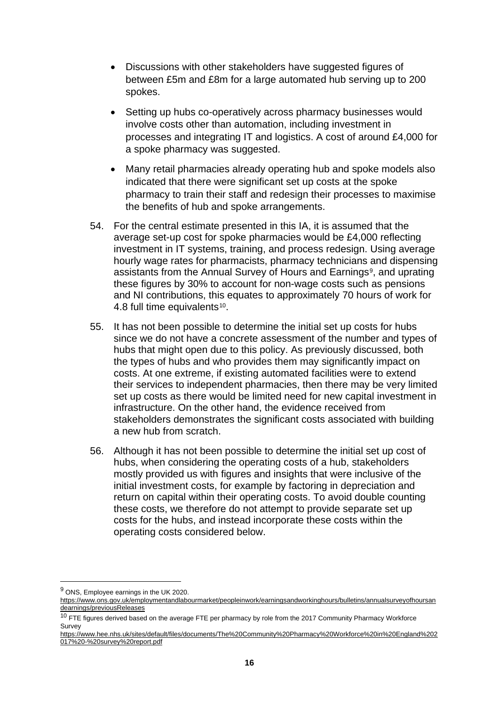- Discussions with other stakeholders have suggested figures of between £5m and £8m for a large automated hub serving up to 200 spokes.
- Setting up hubs co-operatively across pharmacy businesses would involve costs other than automation, including investment in processes and integrating IT and logistics. A cost of around £4,000 for a spoke pharmacy was suggested.
- Many retail pharmacies already operating hub and spoke models also indicated that there were significant set up costs at the spoke pharmacy to train their staff and redesign their processes to maximise the benefits of hub and spoke arrangements.
- 54. For the central estimate presented in this IA, it is assumed that the average set-up cost for spoke pharmacies would be £4,000 reflecting investment in IT systems, training, and process redesign. Using average hourly wage rates for pharmacists, pharmacy technicians and dispensing assistants from the Annual Survey of Hours and Earnings<sup>9</sup>, and uprating these figures by 30% to account for non-wage costs such as pensions and NI contributions, this equates to approximately 70 hours of work for 4.8 full time equivalents<sup>10</sup>.
- 55. It has not been possible to determine the initial set up costs for hubs since we do not have a concrete assessment of the number and types of hubs that might open due to this policy. As previously discussed, both the types of hubs and who provides them may significantly impact on costs. At one extreme, if existing automated facilities were to extend their services to independent pharmacies, then there may be very limited set up costs as there would be limited need for new capital investment in infrastructure. On the other hand, the evidence received from stakeholders demonstrates the significant costs associated with building a new hub from scratch.
- 56. Although it has not been possible to determine the initial set up cost of hubs, when considering the operating costs of a hub, stakeholders mostly provided us with figures and insights that were inclusive of the initial investment costs, for example by factoring in depreciation and return on capital within their operating costs. To avoid double counting these costs, we therefore do not attempt to provide separate set up costs for the hubs, and instead incorporate these costs within the operating costs considered below.

<span id="page-15-0"></span><sup>9</sup> ONS, Employee earnings in the UK 2020.

[https://www.ons.gov.uk/employmentandlabourmarket/peopleinwork/earningsandworkinghours/bulletins/annualsurveyofhoursan](https://www.ons.gov.uk/employmentandlabourmarket/peopleinwork/earningsandworkinghours/bulletins/annualsurveyofhoursandearnings/previousReleases) [dearnings/previousReleases](https://www.ons.gov.uk/employmentandlabourmarket/peopleinwork/earningsandworkinghours/bulletins/annualsurveyofhoursandearnings/previousReleases)

<span id="page-15-1"></span> $10$  FTE figures derived based on the average FTE per pharmacy by role from the 2017 Community Pharmacy Workforce Survey

[https://www.hee.nhs.uk/sites/default/files/documents/The%20Community%20Pharmacy%20Workforce%20in%20England%202](https://www.hee.nhs.uk/sites/default/files/documents/The%20Community%20Pharmacy%20Workforce%20in%20England%202017%20-%20survey%20report.pdf) [017%20-%20survey%20report.pdf](https://www.hee.nhs.uk/sites/default/files/documents/The%20Community%20Pharmacy%20Workforce%20in%20England%202017%20-%20survey%20report.pdf)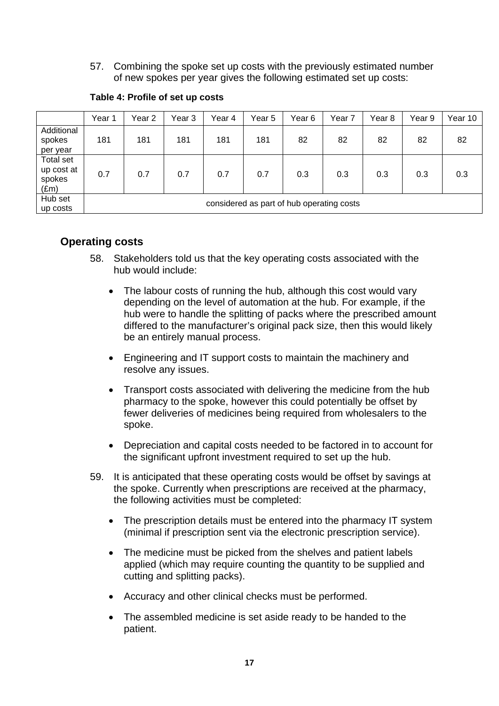57. Combining the spoke set up costs with the previously estimated number of new spokes per year gives the following estimated set up costs:

|                                                           | Year 1 | Year 2                                    | Year 3 | Year 4 | Year 5 | Year <sub>6</sub> | Year 7 | Year 8 | Year 9 | Year 10 |  |  |
|-----------------------------------------------------------|--------|-------------------------------------------|--------|--------|--------|-------------------|--------|--------|--------|---------|--|--|
| Additional<br>spokes<br>per year                          | 181    | 181                                       | 181    | 181    | 181    | 82                | 82     | 82     | 82     | 82      |  |  |
| <b>Total set</b><br>up cost at<br>spokes<br>$(\text{Em})$ | 0.7    | 0.7                                       | 0.7    | 0.7    | 0.7    | 0.3               | 0.3    | 0.3    | 0.3    | 0.3     |  |  |
| Hub set<br>up costs                                       |        | considered as part of hub operating costs |        |        |        |                   |        |        |        |         |  |  |

#### **Table 4: Profile of set up costs**

# **Operating costs**

- 58. Stakeholders told us that the key operating costs associated with the hub would include:
	- The labour costs of running the hub, although this cost would vary depending on the level of automation at the hub. For example, if the hub were to handle the splitting of packs where the prescribed amount differed to the manufacturer's original pack size, then this would likely be an entirely manual process.
	- Engineering and IT support costs to maintain the machinery and resolve any issues.
	- Transport costs associated with delivering the medicine from the hub pharmacy to the spoke, however this could potentially be offset by fewer deliveries of medicines being required from wholesalers to the spoke.
	- Depreciation and capital costs needed to be factored in to account for the significant upfront investment required to set up the hub.
- 59. It is anticipated that these operating costs would be offset by savings at the spoke. Currently when prescriptions are received at the pharmacy, the following activities must be completed:
	- The prescription details must be entered into the pharmacy IT system (minimal if prescription sent via the electronic prescription service).
	- The medicine must be picked from the shelves and patient labels applied (which may require counting the quantity to be supplied and cutting and splitting packs).
	- Accuracy and other clinical checks must be performed.
	- The assembled medicine is set aside ready to be handed to the patient.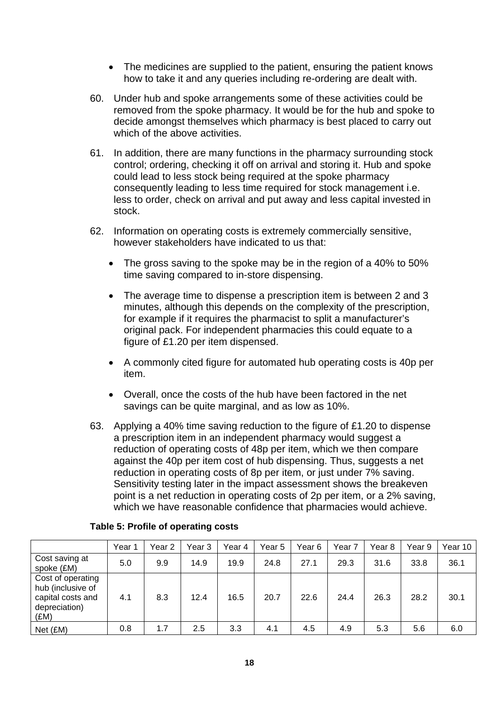- The medicines are supplied to the patient, ensuring the patient knows how to take it and any queries including re-ordering are dealt with.
- 60. Under hub and spoke arrangements some of these activities could be removed from the spoke pharmacy. It would be for the hub and spoke to decide amongst themselves which pharmacy is best placed to carry out which of the above activities.
- 61. In addition, there are many functions in the pharmacy surrounding stock control; ordering, checking it off on arrival and storing it. Hub and spoke could lead to less stock being required at the spoke pharmacy consequently leading to less time required for stock management i.e. less to order, check on arrival and put away and less capital invested in stock.
- 62. Information on operating costs is extremely commercially sensitive, however stakeholders have indicated to us that:
	- The gross saving to the spoke may be in the region of a 40% to 50% time saving compared to in-store dispensing.
	- The average time to dispense a prescription item is between 2 and 3 minutes, although this depends on the complexity of the prescription, for example if it requires the pharmacist to split a manufacturer's original pack. For independent pharmacies this could equate to a figure of £1.20 per item dispensed.
	- A commonly cited figure for automated hub operating costs is 40p per item.
	- Overall, once the costs of the hub have been factored in the net savings can be quite marginal, and as low as 10%.
- 63. Applying a 40% time saving reduction to the figure of £1.20 to dispense a prescription item in an independent pharmacy would suggest a reduction of operating costs of 48p per item, which we then compare against the 40p per item cost of hub dispensing. Thus, suggests a net reduction in operating costs of 8p per item, or just under 7% saving. Sensitivity testing later in the impact assessment shows the breakeven point is a net reduction in operating costs of 2p per item, or a 2% saving, which we have reasonable confidence that pharmacies would achieve.

|                                                                                      | Year 1 | Year 2 | Year 3 | Year 4 | Year 5 | Year 6 | Year 7 | Year 8 | Year 9 | Year 10 |
|--------------------------------------------------------------------------------------|--------|--------|--------|--------|--------|--------|--------|--------|--------|---------|
| Cost saving at<br>spoke (£M)                                                         | 5.0    | 9.9    | 14.9   | 19.9   | 24.8   | 27.1   | 29.3   | 31.6   | 33.8   | 36.1    |
| Cost of operating<br>hub (inclusive of<br>capital costs and<br>depreciation)<br>(£M) | 4.1    | 8.3    | 12.4   | 16.5   | 20.7   | 22.6   | 24.4   | 26.3   | 28.2   | 30.1    |
| Net (£M)                                                                             | 0.8    | 1.7    | 2.5    | 3.3    | 4.1    | 4.5    | 4.9    | 5.3    | 5.6    | 6.0     |

#### **Table 5: Profile of operating costs**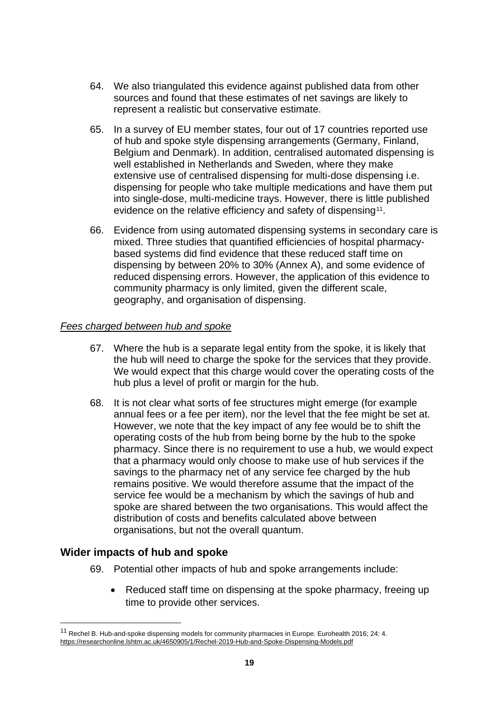- 64. We also triangulated this evidence against published data from other sources and found that these estimates of net savings are likely to represent a realistic but conservative estimate.
- 65. In a survey of EU member states, four out of 17 countries reported use of hub and spoke style dispensing arrangements (Germany, Finland, Belgium and Denmark). In addition, centralised automated dispensing is well established in Netherlands and Sweden, where they make extensive use of centralised dispensing for multi-dose dispensing i.e. dispensing for people who take multiple medications and have them put into single-dose, multi-medicine trays. However, there is little published evidence on the relative efficiency and safety of dispensing<sup>11</sup>.
- 66. Evidence from using automated dispensing systems in secondary care is mixed. Three studies that quantified efficiencies of hospital pharmacybased systems did find evidence that these reduced staff time on dispensing by between 20% to 30% (Annex A), and some evidence of reduced dispensing errors. However, the application of this evidence to community pharmacy is only limited, given the different scale, geography, and organisation of dispensing.

#### *Fees charged between hub and spoke*

- 67. Where the hub is a separate legal entity from the spoke, it is likely that the hub will need to charge the spoke for the services that they provide. We would expect that this charge would cover the operating costs of the hub plus a level of profit or margin for the hub.
- 68. It is not clear what sorts of fee structures might emerge (for example annual fees or a fee per item), nor the level that the fee might be set at. However, we note that the key impact of any fee would be to shift the operating costs of the hub from being borne by the hub to the spoke pharmacy. Since there is no requirement to use a hub, we would expect that a pharmacy would only choose to make use of hub services if the savings to the pharmacy net of any service fee charged by the hub remains positive. We would therefore assume that the impact of the service fee would be a mechanism by which the savings of hub and spoke are shared between the two organisations. This would affect the distribution of costs and benefits calculated above between organisations, but not the overall quantum.

# **Wider impacts of hub and spoke**

- 69. Potential other impacts of hub and spoke arrangements include:
	- Reduced staff time on dispensing at the spoke pharmacy, freeing up time to provide other services.

<span id="page-18-0"></span><sup>11</sup> Rechel B. Hub-and-spoke dispensing models for community pharmacies in Europe. Eurohealth 2016; 24: 4. <https://researchonline.lshtm.ac.uk/4650905/1/Rechel-2019-Hub-and-Spoke-Dispensing-Models.pdf>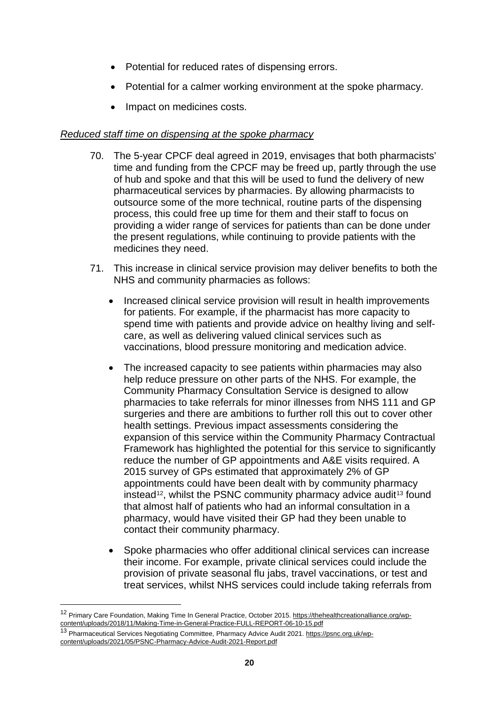- Potential for reduced rates of dispensing errors.
- Potential for a calmer working environment at the spoke pharmacy.
- Impact on medicines costs.

#### *Reduced staff time on dispensing at the spoke pharmacy*

- 70. The 5-year CPCF deal agreed in 2019, envisages that both pharmacists' time and funding from the CPCF may be freed up, partly through the use of hub and spoke and that this will be used to fund the delivery of new pharmaceutical services by pharmacies. By allowing pharmacists to outsource some of the more technical, routine parts of the dispensing process, this could free up time for them and their staff to focus on providing a wider range of services for patients than can be done under the present regulations, while continuing to provide patients with the medicines they need.
- 71. This increase in clinical service provision may deliver benefits to both the NHS and community pharmacies as follows:
	- Increased clinical service provision will result in health improvements for patients. For example, if the pharmacist has more capacity to spend time with patients and provide advice on healthy living and selfcare, as well as delivering valued clinical services such as vaccinations, blood pressure monitoring and medication advice.
	- The increased capacity to see patients within pharmacies may also help reduce pressure on other parts of the NHS. For example, the Community Pharmacy Consultation Service is designed to allow pharmacies to take referrals for minor illnesses from NHS 111 and GP surgeries and there are ambitions to further roll this out to cover other health settings. Previous impact assessments considering the expansion of this service within the Community Pharmacy Contractual Framework has highlighted the potential for this service to significantly reduce the number of GP appointments and A&E visits required. A 2015 survey of GPs estimated that approximately 2% of GP appointments could have been dealt with by community pharmacy instead<sup>12</sup>, whilst the PSNC community pharmacy advice audit<sup>[13](#page-19-1)</sup> found that almost half of patients who had an informal consultation in a pharmacy, would have visited their GP had they been unable to contact their community pharmacy.
	- Spoke pharmacies who offer additional clinical services can increase their income. For example, private clinical services could include the provision of private seasonal flu jabs, travel vaccinations, or test and treat services, whilst NHS services could include taking referrals from

<span id="page-19-0"></span><sup>12</sup> Primary Care Foundation, Making Time In General Practice, October 2015[. https://thehealthcreationalliance.org/wp](https://thehealthcreationalliance.org/wp-content/uploads/2018/11/Making-Time-in-General-Practice-FULL-REPORT-06-10-15.pdf)[content/uploads/2018/11/Making-Time-in-General-Practice-FULL-REPORT-06-10-15.pdf](https://thehealthcreationalliance.org/wp-content/uploads/2018/11/Making-Time-in-General-Practice-FULL-REPORT-06-10-15.pdf)

<span id="page-19-1"></span><sup>13</sup> Pharmaceutical Services Negotiating Committee, Pharmacy Advice Audit 2021. [https://psnc.org.uk/wp](https://psnc.org.uk/wp-content/uploads/2021/05/PSNC-Pharmacy-Advice-Audit-2021-Report.pdf)[content/uploads/2021/05/PSNC-Pharmacy-Advice-Audit-2021-Report.pdf](https://psnc.org.uk/wp-content/uploads/2021/05/PSNC-Pharmacy-Advice-Audit-2021-Report.pdf)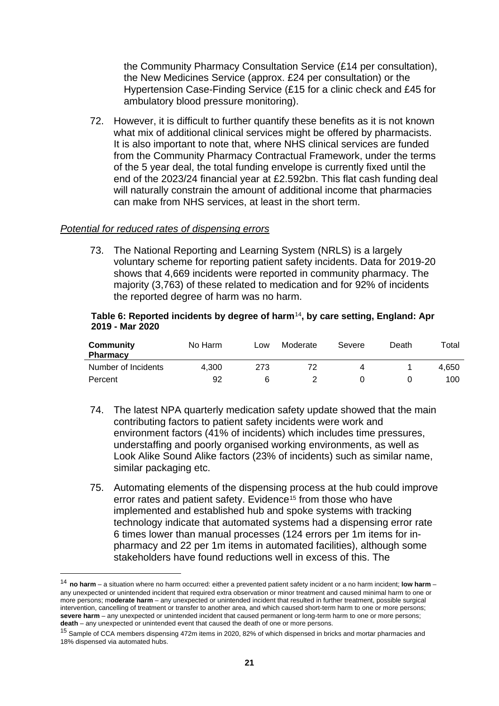the Community Pharmacy Consultation Service (£14 per consultation), the New Medicines Service (approx. £24 per consultation) or the Hypertension Case-Finding Service (£15 for a clinic check and £45 for ambulatory blood pressure monitoring).

72. However, it is difficult to further quantify these benefits as it is not known what mix of additional clinical services might be offered by pharmacists. It is also important to note that, where NHS clinical services are funded from the Community Pharmacy Contractual Framework, under the terms of the 5 year deal, the total funding envelope is currently fixed until the end of the 2023/24 financial year at £2.592bn. This flat cash funding deal will naturally constrain the amount of additional income that pharmacies can make from NHS services, at least in the short term.

#### *Potential for reduced rates of dispensing errors*

73. The National Reporting and Learning System (NRLS) is a largely voluntary scheme for reporting patient safety incidents. Data for 2019-20 shows that 4,669 incidents were reported in community pharmacy. The majority (3,763) of these related to medication and for 92% of incidents the reported degree of harm was no harm.

#### **Table 6: Reported incidents by degree of harm**[14](#page-20-0)**, by care setting, England: Apr 2019 - Mar 2020**

| Community<br><b>Pharmacy</b> | No Harm | Low | Moderate | Severe | Death | Total |
|------------------------------|---------|-----|----------|--------|-------|-------|
| Number of Incidents          | 4.300   | 273 |          |        |       | 4.650 |
| Percent                      | 92      |     |          |        |       | 100.  |

- 74. The latest NPA quarterly medication safety update showed that the main contributing factors to patient safety incidents were work and environment factors (41% of incidents) which includes time pressures, understaffing and poorly organised working environments, as well as Look Alike Sound Alike factors (23% of incidents) such as similar name, similar packaging etc.
- 75. Automating elements of the dispensing process at the hub could improve error rates and patient safety. Evidence<sup>[15](#page-20-1)</sup> from those who have implemented and established hub and spoke systems with tracking technology indicate that automated systems had a dispensing error rate 6 times lower than manual processes (124 errors per 1m items for inpharmacy and 22 per 1m items in automated facilities), although some stakeholders have found reductions well in excess of this. The

<span id="page-20-0"></span><sup>14</sup> **no harm** – a situation where no harm occurred: either a prevented patient safety incident or a no harm incident; **low harm** – any unexpected or unintended incident that required extra observation or minor treatment and caused minimal harm to one or more persons; m**oderate harm** – any unexpected or unintended incident that resulted in further treatment, possible surgical intervention, cancelling of treatment or transfer to another area, and which caused short-term harm to one or more persons; **severe harm** – any unexpected or unintended incident that caused permanent or long-term harm to one or more persons; **death** – any unexpected or unintended event that caused the death of one or more persons.

<span id="page-20-1"></span><sup>&</sup>lt;sup>15</sup> Sample of CCA members dispensing 472m items in 2020, 82% of which dispensed in bricks and mortar pharmacies and 18% dispensed via automated hubs.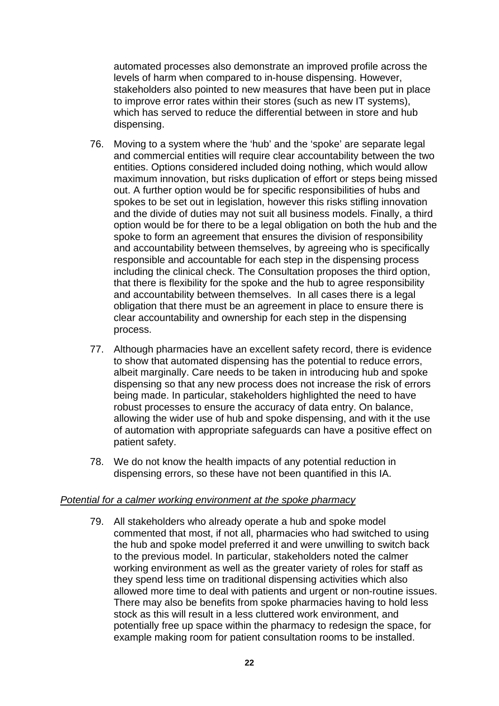automated processes also demonstrate an improved profile across the levels of harm when compared to in-house dispensing. However, stakeholders also pointed to new measures that have been put in place to improve error rates within their stores (such as new IT systems), which has served to reduce the differential between in store and hub dispensing.

- 76. Moving to a system where the 'hub' and the 'spoke' are separate legal and commercial entities will require clear accountability between the two entities. Options considered included doing nothing, which would allow maximum innovation, but risks duplication of effort or steps being missed out. A further option would be for specific responsibilities of hubs and spokes to be set out in legislation, however this risks stifling innovation and the divide of duties may not suit all business models. Finally, a third option would be for there to be a legal obligation on both the hub and the spoke to form an agreement that ensures the division of responsibility and accountability between themselves, by agreeing who is specifically responsible and accountable for each step in the dispensing process including the clinical check. The Consultation proposes the third option, that there is flexibility for the spoke and the hub to agree responsibility and accountability between themselves. In all cases there is a legal obligation that there must be an agreement in place to ensure there is clear accountability and ownership for each step in the dispensing process.
- 77. Although pharmacies have an excellent safety record, there is evidence to show that automated dispensing has the potential to reduce errors, albeit marginally. Care needs to be taken in introducing hub and spoke dispensing so that any new process does not increase the risk of errors being made. In particular, stakeholders highlighted the need to have robust processes to ensure the accuracy of data entry. On balance, allowing the wider use of hub and spoke dispensing, and with it the use of automation with appropriate safeguards can have a positive effect on patient safety.
- 78. We do not know the health impacts of any potential reduction in dispensing errors, so these have not been quantified in this IA.

#### *Potential for a calmer working environment at the spoke pharmacy*

79. All stakeholders who already operate a hub and spoke model commented that most, if not all, pharmacies who had switched to using the hub and spoke model preferred it and were unwilling to switch back to the previous model. In particular, stakeholders noted the calmer working environment as well as the greater variety of roles for staff as they spend less time on traditional dispensing activities which also allowed more time to deal with patients and urgent or non-routine issues. There may also be benefits from spoke pharmacies having to hold less stock as this will result in a less cluttered work environment, and potentially free up space within the pharmacy to redesign the space, for example making room for patient consultation rooms to be installed.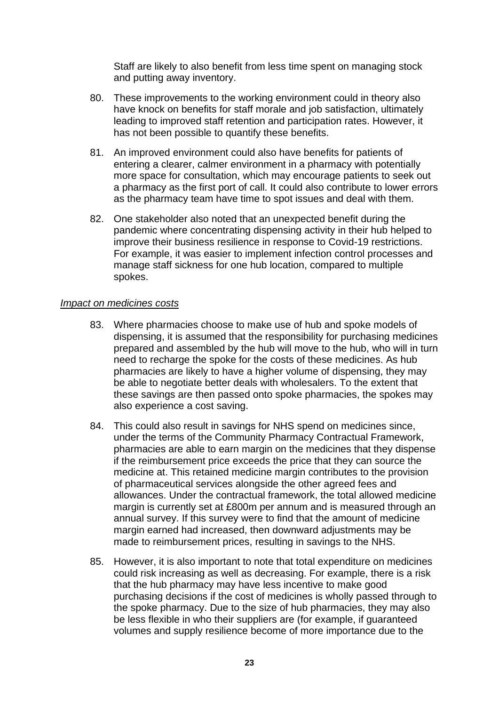Staff are likely to also benefit from less time spent on managing stock and putting away inventory.

- 80. These improvements to the working environment could in theory also have knock on benefits for staff morale and job satisfaction, ultimately leading to improved staff retention and participation rates. However, it has not been possible to quantify these benefits.
- 81. An improved environment could also have benefits for patients of entering a clearer, calmer environment in a pharmacy with potentially more space for consultation, which may encourage patients to seek out a pharmacy as the first port of call. It could also contribute to lower errors as the pharmacy team have time to spot issues and deal with them.
- 82. One stakeholder also noted that an unexpected benefit during the pandemic where concentrating dispensing activity in their hub helped to improve their business resilience in response to Covid-19 restrictions. For example, it was easier to implement infection control processes and manage staff sickness for one hub location, compared to multiple spokes.

#### *Impact on medicines costs*

- 83. Where pharmacies choose to make use of hub and spoke models of dispensing, it is assumed that the responsibility for purchasing medicines prepared and assembled by the hub will move to the hub, who will in turn need to recharge the spoke for the costs of these medicines. As hub pharmacies are likely to have a higher volume of dispensing, they may be able to negotiate better deals with wholesalers. To the extent that these savings are then passed onto spoke pharmacies, the spokes may also experience a cost saving.
- 84. This could also result in savings for NHS spend on medicines since, under the terms of the Community Pharmacy Contractual Framework, pharmacies are able to earn margin on the medicines that they dispense if the reimbursement price exceeds the price that they can source the medicine at. This retained medicine margin contributes to the provision of pharmaceutical services alongside the other agreed fees and allowances. Under the contractual framework, the total allowed medicine margin is currently set at £800m per annum and is measured through an annual survey. If this survey were to find that the amount of medicine margin earned had increased, then downward adjustments may be made to reimbursement prices, resulting in savings to the NHS.
- 85. However, it is also important to note that total expenditure on medicines could risk increasing as well as decreasing. For example, there is a risk that the hub pharmacy may have less incentive to make good purchasing decisions if the cost of medicines is wholly passed through to the spoke pharmacy. Due to the size of hub pharmacies, they may also be less flexible in who their suppliers are (for example, if guaranteed volumes and supply resilience become of more importance due to the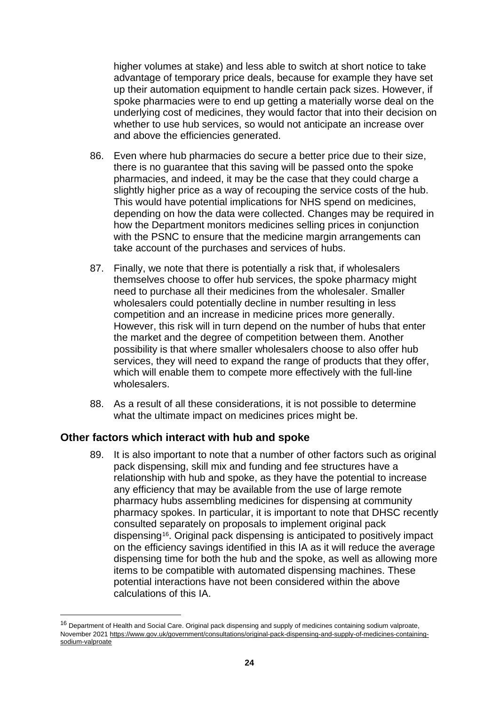higher volumes at stake) and less able to switch at short notice to take advantage of temporary price deals, because for example they have set up their automation equipment to handle certain pack sizes. However, if spoke pharmacies were to end up getting a materially worse deal on the underlying cost of medicines, they would factor that into their decision on whether to use hub services, so would not anticipate an increase over and above the efficiencies generated.

- 86. Even where hub pharmacies do secure a better price due to their size, there is no guarantee that this saving will be passed onto the spoke pharmacies, and indeed, it may be the case that they could charge a slightly higher price as a way of recouping the service costs of the hub. This would have potential implications for NHS spend on medicines, depending on how the data were collected. Changes may be required in how the Department monitors medicines selling prices in conjunction with the PSNC to ensure that the medicine margin arrangements can take account of the purchases and services of hubs.
- 87. Finally, we note that there is potentially a risk that, if wholesalers themselves choose to offer hub services, the spoke pharmacy might need to purchase all their medicines from the wholesaler. Smaller wholesalers could potentially decline in number resulting in less competition and an increase in medicine prices more generally. However, this risk will in turn depend on the number of hubs that enter the market and the degree of competition between them. Another possibility is that where smaller wholesalers choose to also offer hub services, they will need to expand the range of products that they offer, which will enable them to compete more effectively with the full-line wholesalers.
- 88. As a result of all these considerations, it is not possible to determine what the ultimate impact on medicines prices might be.

# **Other factors which interact with hub and spoke**

89. It is also important to note that a number of other factors such as original pack dispensing, skill mix and funding and fee structures have a relationship with hub and spoke, as they have the potential to increase any efficiency that may be available from the use of large remote pharmacy hubs assembling medicines for dispensing at community pharmacy spokes. In particular, it is important to note that DHSC recently consulted separately on proposals to implement original pack dispensing[16](#page-23-0). Original pack dispensing is anticipated to positively impact on the efficiency savings identified in this IA as it will reduce the average dispensing time for both the hub and the spoke, as well as allowing more items to be compatible with automated dispensing machines. These potential interactions have not been considered within the above calculations of this IA.

<span id="page-23-0"></span><sup>&</sup>lt;sup>16</sup> Department of Health and Social Care. Original pack dispensing and supply of medicines containing sodium valproate, November 2021 [https://www.gov.uk/government/consultations/original-pack-dispensing-and-supply-of-medicines-containing](https://www.gov.uk/government/consultations/original-pack-dispensing-and-supply-of-medicines-containing-sodium-valproate)[sodium-valproate](https://www.gov.uk/government/consultations/original-pack-dispensing-and-supply-of-medicines-containing-sodium-valproate)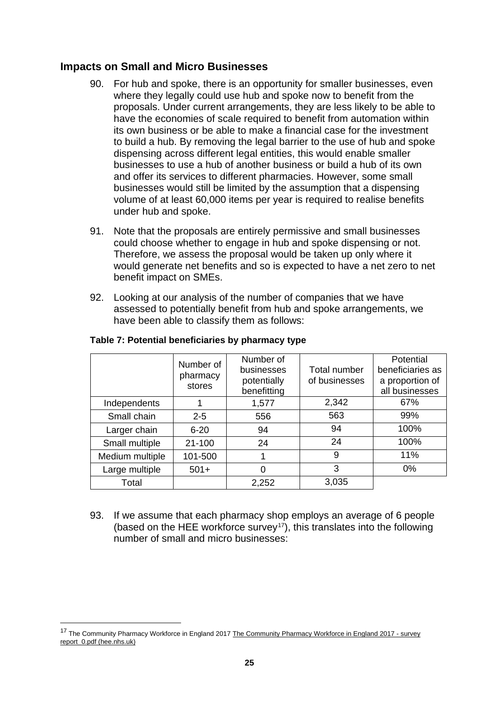### **Impacts on Small and Micro Businesses**

- 90. For hub and spoke, there is an opportunity for smaller businesses, even where they legally could use hub and spoke now to benefit from the proposals. Under current arrangements, they are less likely to be able to have the economies of scale required to benefit from automation within its own business or be able to make a financial case for the investment to build a hub. By removing the legal barrier to the use of hub and spoke dispensing across different legal entities, this would enable smaller businesses to use a hub of another business or build a hub of its own and offer its services to different pharmacies. However, some small businesses would still be limited by the assumption that a dispensing volume of at least 60,000 items per year is required to realise benefits under hub and spoke.
- 91. Note that the proposals are entirely permissive and small businesses could choose whether to engage in hub and spoke dispensing or not. Therefore, we assess the proposal would be taken up only where it would generate net benefits and so is expected to have a net zero to net benefit impact on SMEs.
- 92. Looking at our analysis of the number of companies that we have assessed to potentially benefit from hub and spoke arrangements, we have been able to classify them as follows:

|                 | Number of<br>pharmacy<br>stores | Number of<br>businesses<br>potentially<br>benefitting | <b>Total number</b><br>of businesses | Potential<br>beneficiaries as<br>a proportion of<br>all businesses |
|-----------------|---------------------------------|-------------------------------------------------------|--------------------------------------|--------------------------------------------------------------------|
| Independents    |                                 | 1,577                                                 | 2,342                                | 67%                                                                |
| Small chain     | $2 - 5$                         | 556                                                   | 563                                  | 99%                                                                |
| Larger chain    | $6 - 20$                        | 94                                                    | 94                                   | 100%                                                               |
| Small multiple  | $21 - 100$                      | 24                                                    | 24                                   | 100%                                                               |
| Medium multiple | 101-500                         |                                                       | 9                                    | 11%                                                                |
| Large multiple  | $501+$                          | 0                                                     | 3                                    | 0%                                                                 |
| Total           |                                 | 2,252                                                 | 3,035                                |                                                                    |

#### **Table 7: Potential beneficiaries by pharmacy type**

93. If we assume that each pharmacy shop employs an average of 6 people (based on the HEE workforce survey<sup>17</sup>), this translates into the following number of small and micro businesses:

<span id="page-24-0"></span><sup>&</sup>lt;sup>17</sup> The Community Pharmacy Workforce in England 201[7 The Community Pharmacy Workforce in England 2017 -](https://www.hee.nhs.uk/sites/default/files/documents/The%20Community%20Pharmacy%20Workforce%20in%20England%202017%20-%20survey%20report_0.pdf) survey [report\\_0.pdf \(hee.nhs.uk\)](https://www.hee.nhs.uk/sites/default/files/documents/The%20Community%20Pharmacy%20Workforce%20in%20England%202017%20-%20survey%20report_0.pdf)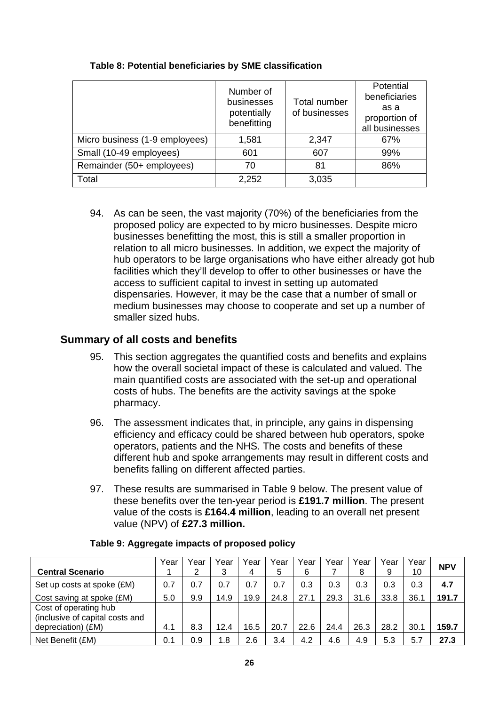|                                | Number of<br>businesses<br>potentially<br>benefitting | Total number<br>of businesses | Potential<br>beneficiaries<br>as a<br>proportion of<br>all businesses |
|--------------------------------|-------------------------------------------------------|-------------------------------|-----------------------------------------------------------------------|
| Micro business (1-9 employees) | 1,581                                                 | 2,347                         | 67%                                                                   |
| Small (10-49 employees)        | 601                                                   | 607                           | 99%                                                                   |
| Remainder (50+ employees)      | 70                                                    | 81                            | 86%                                                                   |
| Total                          | 2,252                                                 | 3,035                         |                                                                       |

#### **Table 8: Potential beneficiaries by SME classification**

94. As can be seen, the vast majority (70%) of the beneficiaries from the proposed policy are expected to by micro businesses. Despite micro businesses benefitting the most, this is still a smaller proportion in relation to all micro businesses. In addition, we expect the majority of hub operators to be large organisations who have either already got hub facilities which they'll develop to offer to other businesses or have the access to sufficient capital to invest in setting up automated dispensaries. However, it may be the case that a number of small or medium businesses may choose to cooperate and set up a number of smaller sized hubs.

### **Summary of all costs and benefits**

- 95. This section aggregates the quantified costs and benefits and explains how the overall societal impact of these is calculated and valued. The main quantified costs are associated with the set-up and operational costs of hubs. The benefits are the activity savings at the spoke pharmacy.
- 96. The assessment indicates that, in principle, any gains in dispensing efficiency and efficacy could be shared between hub operators, spoke operators, patients and the NHS. The costs and benefits of these different hub and spoke arrangements may result in different costs and benefits falling on different affected parties.
- 97. These results are summarised in Table 9 below. The present value of these benefits over the ten-year period is **£191.7 million**. The present value of the costs is **£164.4 million**, leading to an overall net present value (NPV) of **£27.3 million.**

| <b>Central Scenario</b>         | Year | Year<br>2 | Year<br>3 | Year<br>4 | Year<br>5 | Year<br>6 | Year | Year<br>8 | Year<br>9 | Year<br>10 | <b>NPV</b> |
|---------------------------------|------|-----------|-----------|-----------|-----------|-----------|------|-----------|-----------|------------|------------|
|                                 |      |           |           |           |           |           |      |           |           |            |            |
| Set up costs at spoke (£M)      | 0.7  | 0.7       | 0.7       | 0.7       | 0.7       | 0.3       | 0.3  | 0.3       | 0.3       | 0.3        | 4.7        |
| Cost saving at spoke (£M)       | 5.0  | 9.9       | 14.9      | 19.9      | 24.8      | 27.1      | 29.3 | 31.6      | 33.8      | 36.1       | 191.7      |
| Cost of operating hub           |      |           |           |           |           |           |      |           |           |            |            |
| (inclusive of capital costs and |      |           |           |           |           |           |      |           |           |            |            |
| depreciation) (£M)              | 4.1  | 8.3       | 12.4      | 16.5      | 20.7      | 22.6      | 24.4 | 26.3      | 28.2      | 30.1       | 159.7      |
| Net Benefit (£M)                | 0.1  | 0.9       | 1.8       | 2.6       | 3.4       | 4.2       | 4.6  | 4.9       | 5.3       | 5.7        | 27.3       |

#### **Table 9: Aggregate impacts of proposed policy**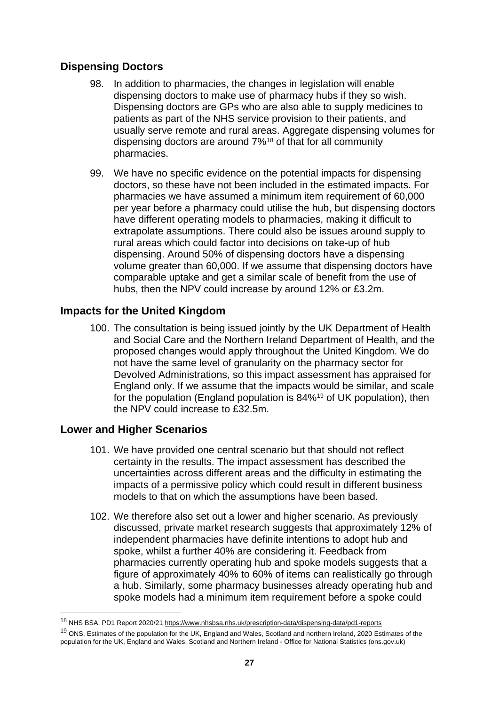# **Dispensing Doctors**

- 98. In addition to pharmacies, the changes in legislation will enable dispensing doctors to make use of pharmacy hubs if they so wish. Dispensing doctors are GPs who are also able to supply medicines to patients as part of the NHS service provision to their patients, and usually serve remote and rural areas. Aggregate dispensing volumes for dispensing doctors are around 7%[18](#page-26-0) of that for all community pharmacies.
- 99. We have no specific evidence on the potential impacts for dispensing doctors, so these have not been included in the estimated impacts. For pharmacies we have assumed a minimum item requirement of 60,000 per year before a pharmacy could utilise the hub, but dispensing doctors have different operating models to pharmacies, making it difficult to extrapolate assumptions. There could also be issues around supply to rural areas which could factor into decisions on take-up of hub dispensing. Around 50% of dispensing doctors have a dispensing volume greater than 60,000. If we assume that dispensing doctors have comparable uptake and get a similar scale of benefit from the use of hubs, then the NPV could increase by around 12% or £3.2m.

# **Impacts for the United Kingdom**

100. The consultation is being issued jointly by the UK Department of Health and Social Care and the Northern Ireland Department of Health, and the proposed changes would apply throughout the United Kingdom. We do not have the same level of granularity on the pharmacy sector for Devolved Administrations, so this impact assessment has appraised for England only. If we assume that the impacts would be similar, and scale for the population (England population is 84%[19](#page-26-1) of UK population), then the NPV could increase to £32.5m.

# **Lower and Higher Scenarios**

- 101. We have provided one central scenario but that should not reflect certainty in the results. The impact assessment has described the uncertainties across different areas and the difficulty in estimating the impacts of a permissive policy which could result in different business models to that on which the assumptions have been based.
- 102. We therefore also set out a lower and higher scenario. As previously discussed, private market research suggests that approximately 12% of independent pharmacies have definite intentions to adopt hub and spoke, whilst a further 40% are considering it. Feedback from pharmacies currently operating hub and spoke models suggests that a figure of approximately 40% to 60% of items can realistically go through a hub. Similarly, some pharmacy businesses already operating hub and spoke models had a minimum item requirement before a spoke could

<span id="page-26-0"></span><sup>18</sup> NHS BSA, PD1 Report 2020/2[1 https://www.nhsbsa.nhs.uk/prescription-data/dispensing-data/pd1-reports](https://www.nhsbsa.nhs.uk/prescription-data/dispensing-data/pd1-reports)

<span id="page-26-1"></span><sup>&</sup>lt;sup>19</sup> ONS, Estimates of the population for the UK, England and Wales, Scotland and northern Ireland, 2020 Estimates of the [population for the UK, England and Wales, Scotland and Northern Ireland -](https://www.ons.gov.uk/peoplepopulationandcommunity/populationandmigration/populationestimates/datasets/populationestimatesforukenglandandwalesscotlandandnorthernireland) Office for National Statistics (ons.gov.uk)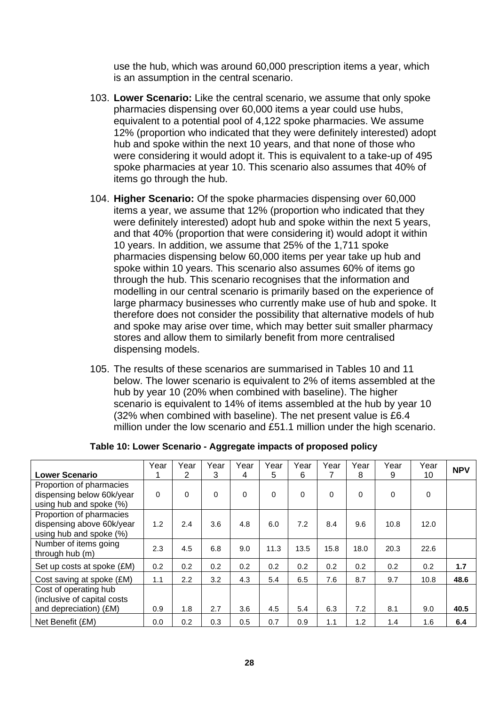use the hub, which was around 60,000 prescription items a year, which is an assumption in the central scenario.

- 103. **Lower Scenario:** Like the central scenario, we assume that only spoke pharmacies dispensing over 60,000 items a year could use hubs, equivalent to a potential pool of 4,122 spoke pharmacies. We assume 12% (proportion who indicated that they were definitely interested) adopt hub and spoke within the next 10 years, and that none of those who were considering it would adopt it. This is equivalent to a take-up of 495 spoke pharmacies at year 10. This scenario also assumes that 40% of items go through the hub.
- 104. **Higher Scenario:** Of the spoke pharmacies dispensing over 60,000 items a year, we assume that 12% (proportion who indicated that they were definitely interested) adopt hub and spoke within the next 5 years, and that 40% (proportion that were considering it) would adopt it within 10 years. In addition, we assume that 25% of the 1,711 spoke pharmacies dispensing below 60,000 items per year take up hub and spoke within 10 years. This scenario also assumes 60% of items go through the hub. This scenario recognises that the information and modelling in our central scenario is primarily based on the experience of large pharmacy businesses who currently make use of hub and spoke. It therefore does not consider the possibility that alternative models of hub and spoke may arise over time, which may better suit smaller pharmacy stores and allow them to similarly benefit from more centralised dispensing models.
- 105. The results of these scenarios are summarised in Tables 10 and 11 below. The lower scenario is equivalent to 2% of items assembled at the hub by year 10 (20% when combined with baseline). The higher scenario is equivalent to 14% of items assembled at the hub by year 10 (32% when combined with baseline). The net present value is £6.4 million under the low scenario and £51.1 million under the high scenario.

|                                                                                  | Year     | Year             | Year | Year     | Year     | Year     | Year     | Year     | Year     | Year        | <b>NPV</b> |
|----------------------------------------------------------------------------------|----------|------------------|------|----------|----------|----------|----------|----------|----------|-------------|------------|
| <b>Lower Scenario</b>                                                            |          | 2                | 3    | 4        | 5        | 6        |          | 8        | 9        | 10          |            |
| Proportion of pharmacies<br>dispensing below 60k/year<br>using hub and spoke (%) | $\Omega$ | $\Omega$         | 0    | $\Omega$ | $\Omega$ | $\Omega$ | $\Omega$ | $\Omega$ | $\Omega$ | $\mathbf 0$ |            |
| Proportion of pharmacies<br>dispensing above 60k/year<br>using hub and spoke (%) | 1.2      | 2.4              | 3.6  | 4.8      | 6.0      | 7.2      | 8.4      | 9.6      | 10.8     | 12.0        |            |
| Number of items going<br>through hub (m)                                         | 2.3      | 4.5              | 6.8  | 9.0      | 11.3     | 13.5     | 15.8     | 18.0     | 20.3     | 22.6        |            |
| Set up costs at spoke (£M)                                                       | 0.2      | 0.2              | 0.2  | 0.2      | 0.2      | 0.2      | 0.2      | 0.2      | 0.2      | 0.2         | 1.7        |
| Cost saving at spoke (£M)                                                        | 1.1      | $2.2\phantom{0}$ | 3.2  | 4.3      | 5.4      | 6.5      | 7.6      | 8.7      | 9.7      | 10.8        | 48.6       |
| Cost of operating hub<br>(inclusive of capital costs)<br>and depreciation) (£M)  | 0.9      | 1.8              | 2.7  | 3.6      | 4.5      | 5.4      | 6.3      | 7.2      | 8.1      | 9.0         | 40.5       |
| Net Benefit (£M)                                                                 | 0.0      | 0.2              | 0.3  | 0.5      | 0.7      | 0.9      | 1.1      | 1.2      | 1.4      | 1.6         | 6.4        |

**Table 10: Lower Scenario - Aggregate impacts of proposed policy**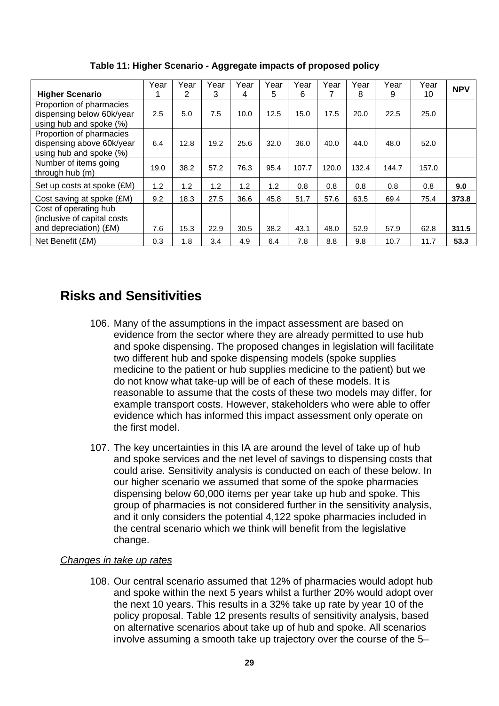| <b>Higher Scenario</b>                                                           | Year | Year<br>2 | Year<br>3 | Year<br>4 | Year<br>5 | Year<br>6 | Year  | Year<br>8 | Year<br>9 | Year<br>10 | <b>NPV</b> |
|----------------------------------------------------------------------------------|------|-----------|-----------|-----------|-----------|-----------|-------|-----------|-----------|------------|------------|
| Proportion of pharmacies                                                         |      |           |           |           |           |           |       |           |           |            |            |
| dispensing below 60k/year<br>using hub and spoke (%)                             | 2.5  | 5.0       | 7.5       | 10.0      | 12.5      | 15.0      | 17.5  | 20.0      | 22.5      | 25.0       |            |
| Proportion of pharmacies<br>dispensing above 60k/year<br>using hub and spoke (%) | 6.4  | 12.8      | 19.2      | 25.6      | 32.0      | 36.0      | 40.0  | 44.0      | 48.0      | 52.0       |            |
| Number of items going<br>through hub (m)                                         | 19.0 | 38.2      | 57.2      | 76.3      | 95.4      | 107.7     | 120.0 | 132.4     | 144.7     | 157.0      |            |
| Set up costs at spoke (£M)                                                       | 1.2  | 1.2       | 1.2       | 1.2       | 1.2       | 0.8       | 0.8   | 0.8       | 0.8       | 0.8        | 9.0        |
| Cost saving at spoke (£M)                                                        | 9.2  | 18.3      | 27.5      | 36.6      | 45.8      | 51.7      | 57.6  | 63.5      | 69.4      | 75.4       | 373.8      |
| Cost of operating hub<br>(inclusive of capital costs<br>and depreciation) (£M)   | 7.6  | 15.3      | 22.9      | 30.5      | 38.2      | 43.1      | 48.0  | 52.9      | 57.9      | 62.8       | 311.5      |
| Net Benefit (£M)                                                                 | 0.3  | 1.8       | 3.4       | 4.9       | 6.4       | 7.8       | 8.8   | 9.8       | 10.7      | 11.7       | 53.3       |

**Table 11: Higher Scenario - Aggregate impacts of proposed policy**

# **Risks and Sensitivities**

- 106. Many of the assumptions in the impact assessment are based on evidence from the sector where they are already permitted to use hub and spoke dispensing. The proposed changes in legislation will facilitate two different hub and spoke dispensing models (spoke supplies medicine to the patient or hub supplies medicine to the patient) but we do not know what take-up will be of each of these models. It is reasonable to assume that the costs of these two models may differ, for example transport costs. However, stakeholders who were able to offer evidence which has informed this impact assessment only operate on the first model.
- 107. The key uncertainties in this IA are around the level of take up of hub and spoke services and the net level of savings to dispensing costs that could arise. Sensitivity analysis is conducted on each of these below. In our higher scenario we assumed that some of the spoke pharmacies dispensing below 60,000 items per year take up hub and spoke. This group of pharmacies is not considered further in the sensitivity analysis, and it only considers the potential 4,122 spoke pharmacies included in the central scenario which we think will benefit from the legislative change.

# *Changes in take up rates*

108. Our central scenario assumed that 12% of pharmacies would adopt hub and spoke within the next 5 years whilst a further 20% would adopt over the next 10 years. This results in a 32% take up rate by year 10 of the policy proposal. Table 12 presents results of sensitivity analysis, based on alternative scenarios about take up of hub and spoke. All scenarios involve assuming a smooth take up trajectory over the course of the 5–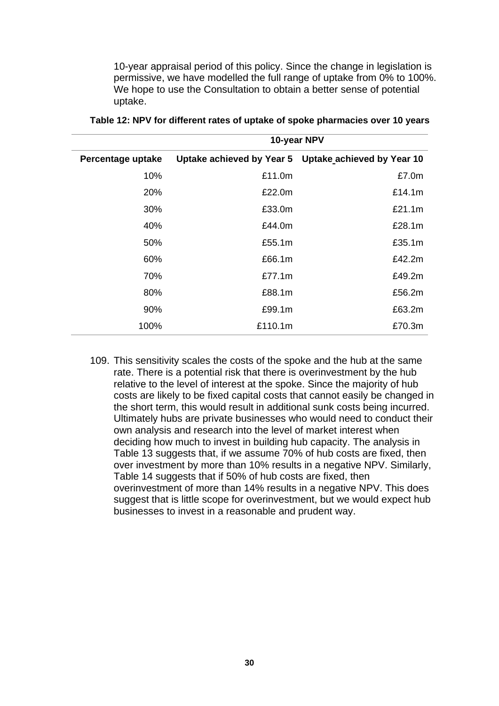10-year appraisal period of this policy. Since the change in legislation is permissive, we have modelled the full range of uptake from 0% to 100%. We hope to use the Consultation to obtain a better sense of potential uptake.

|                   |         | 10-year NPV                                          |
|-------------------|---------|------------------------------------------------------|
| Percentage uptake |         | Uptake achieved by Year 5 Uptake achieved by Year 10 |
| 10%               | £11.0m  | £7.0m                                                |
| 20%               | £22.0m  | £14.1m                                               |
| 30%               | £33.0m  | £21.1m                                               |
| 40%               | £44.0m  | £28.1m                                               |
| 50%               | £55.1m  | £35.1m                                               |
| 60%               | £66.1m  | £42.2m                                               |
| 70%               | £77.1m  | £49.2m                                               |
| 80%               | £88.1m  | £56.2m                                               |
| 90%               | £99.1m  | £63.2m                                               |
| 100%              | £110.1m | £70.3m                                               |

**Table 12: NPV for different rates of uptake of spoke pharmacies over 10 years**

109. This sensitivity scales the costs of the spoke and the hub at the same rate. There is a potential risk that there is overinvestment by the hub relative to the level of interest at the spoke. Since the majority of hub costs are likely to be fixed capital costs that cannot easily be changed in the short term, this would result in additional sunk costs being incurred. Ultimately hubs are private businesses who would need to conduct their own analysis and research into the level of market interest when deciding how much to invest in building hub capacity. The analysis in Table 13 suggests that, if we assume 70% of hub costs are fixed, then over investment by more than 10% results in a negative NPV. Similarly, Table 14 suggests that if 50% of hub costs are fixed, then overinvestment of more than 14% results in a negative NPV. This does suggest that is little scope for overinvestment, but we would expect hub businesses to invest in a reasonable and prudent way.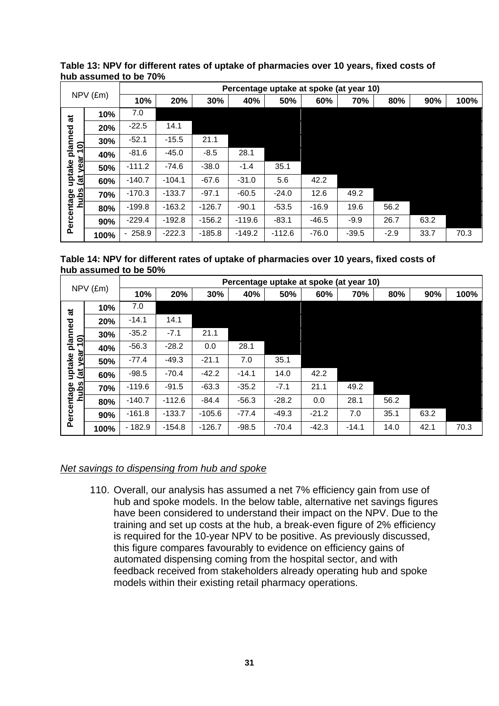|                         |      |          |          |          | Percentage uptake at spoke (at year 10) |          |         |         |        |      |      |
|-------------------------|------|----------|----------|----------|-----------------------------------------|----------|---------|---------|--------|------|------|
| $NPV$ ( $Em$ )          |      | 10%      | 20%      | 30%      | 40%                                     | 50%      | 60%     | 70%     | 80%    | 90%  | 100% |
| ಕ                       | 10%  | 7.0      |          |          |                                         |          |         |         |        |      |      |
|                         | 20%  | $-22.5$  | 14.1     |          |                                         |          |         |         |        |      |      |
| planned<br>10)          | 30%  | $-52.1$  | $-15.5$  | 21.1     |                                         |          |         |         |        |      |      |
|                         | 40%  | $-81.6$  | $-45.0$  | $-8.5$   | 28.1                                    |          |         |         |        |      |      |
| uptake<br>yea           | 50%  | $-111.2$ | $-74.6$  | $-38.0$  | $-1.4$                                  | 35.1     |         |         |        |      |      |
| $\overline{\mathbf{a}}$ | 60%  | $-140.7$ | $-104.1$ | $-67.6$  | $-31.0$                                 | 5.6      | 42.2    |         |        |      |      |
| hubs                    | 70%  | $-170.3$ | $-133.7$ | $-97.1$  | $-60.5$                                 | $-24.0$  | 12.6    | 49.2    |        |      |      |
|                         | 80%  | $-199.8$ | $-163.2$ | $-126.7$ | $-90.1$                                 | $-53.5$  | $-16.9$ | 19.6    | 56.2   |      |      |
| Percentage              | 90%  | $-229.4$ | $-192.8$ | $-156.2$ | $-119.6$                                | $-83.1$  | $-46.5$ | $-9.9$  | 26.7   | 63.2 |      |
|                         | 100% | $-258.9$ | $-222.3$ | $-185.8$ | $-149.2$                                | $-112.6$ | $-76.0$ | $-39.5$ | $-2.9$ | 33.7 | 70.3 |

**Table 13: NPV for different rates of uptake of pharmacies over 10 years, fixed costs of hub assumed to be 70%** 

**Table 14: NPV for different rates of uptake of pharmacies over 10 years, fixed costs of hub assumed to be 50%** 

|                |      |          | Percentage uptake at spoke (at year 10) |          |         |         |         |         |      |      |      |  |  |  |  |
|----------------|------|----------|-----------------------------------------|----------|---------|---------|---------|---------|------|------|------|--|--|--|--|
| $NPV$ ( $Em$ ) |      | 10%      | 20%                                     | 30%      | 40%     | 50%     | 60%     | 70%     | 80%  | 90%  | 100% |  |  |  |  |
| ಕ              | 10%  | 7.0      |                                         |          |         |         |         |         |      |      |      |  |  |  |  |
|                | 20%  | $-14.1$  | 14.1                                    |          |         |         |         |         |      |      |      |  |  |  |  |
| planned<br>10) | 30%  | $-35.2$  | $-7.1$                                  | 21.1     |         |         |         |         |      |      |      |  |  |  |  |
|                | 40%  | $-56.3$  | $-28.2$                                 | 0.0      | 28.1    |         |         |         |      |      |      |  |  |  |  |
| yea<br>uptake  | 50%  | $-77.4$  | $-49.3$                                 | $-21.1$  | 7.0     | 35.1    |         |         |      |      |      |  |  |  |  |
| $\vec{a}$      | 60%  | $-98.5$  | $-70.4$                                 | $-42.2$  | $-14.1$ | 14.0    | 42.2    |         |      |      |      |  |  |  |  |
| ubs            | 70%  | $-119.6$ | $-91.5$                                 | $-63.3$  | $-35.2$ | $-7.1$  | 21.1    | 49.2    |      |      |      |  |  |  |  |
| ē              | 80%  | $-140.7$ | $-112.6$                                | $-84.4$  | $-56.3$ | $-28.2$ | 0.0     | 28.1    | 56.2 |      |      |  |  |  |  |
| Percentage     | 90%  | $-161.8$ | $-133.7$                                | $-105.6$ | $-77.4$ | $-49.3$ | $-21.2$ | 7.0     | 35.1 | 63.2 |      |  |  |  |  |
|                | 100% | $-182.9$ | $-154.8$                                | $-126.7$ | $-98.5$ | $-70.4$ | $-42.3$ | $-14.1$ | 14.0 | 42.1 | 70.3 |  |  |  |  |

#### *Net savings to dispensing from hub and spoke*

110. Overall, our analysis has assumed a net 7% efficiency gain from use of hub and spoke models. In the below table, alternative net savings figures have been considered to understand their impact on the NPV. Due to the training and set up costs at the hub, a break-even figure of 2% efficiency is required for the 10-year NPV to be positive. As previously discussed, this figure compares favourably to evidence on efficiency gains of automated dispensing coming from the hospital sector, and with feedback received from stakeholders already operating hub and spoke models within their existing retail pharmacy operations.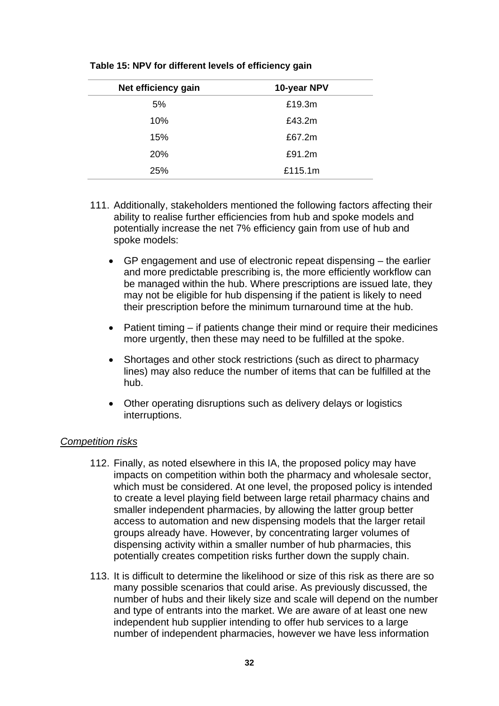| Net efficiency gain | 10-year NPV |
|---------------------|-------------|
| 5%                  | £19.3m      |
| 10%                 | £43.2m      |
| 15%                 | £67.2m      |
| 20%                 | £91.2m      |
| 25%                 | £115.1m     |

**Table 15: NPV for different levels of efficiency gain**

- 111. Additionally, stakeholders mentioned the following factors affecting their ability to realise further efficiencies from hub and spoke models and potentially increase the net 7% efficiency gain from use of hub and spoke models:
	- GP engagement and use of electronic repeat dispensing the earlier and more predictable prescribing is, the more efficiently workflow can be managed within the hub. Where prescriptions are issued late, they may not be eligible for hub dispensing if the patient is likely to need their prescription before the minimum turnaround time at the hub.
	- Patient timing if patients change their mind or require their medicines more urgently, then these may need to be fulfilled at the spoke.
	- Shortages and other stock restrictions (such as direct to pharmacy lines) may also reduce the number of items that can be fulfilled at the hub.
	- Other operating disruptions such as delivery delays or logistics interruptions.

#### *Competition risks*

- 112. Finally, as noted elsewhere in this IA, the proposed policy may have impacts on competition within both the pharmacy and wholesale sector, which must be considered. At one level, the proposed policy is intended to create a level playing field between large retail pharmacy chains and smaller independent pharmacies, by allowing the latter group better access to automation and new dispensing models that the larger retail groups already have. However, by concentrating larger volumes of dispensing activity within a smaller number of hub pharmacies, this potentially creates competition risks further down the supply chain.
- 113. It is difficult to determine the likelihood or size of this risk as there are so many possible scenarios that could arise. As previously discussed, the number of hubs and their likely size and scale will depend on the number and type of entrants into the market. We are aware of at least one new independent hub supplier intending to offer hub services to a large number of independent pharmacies, however we have less information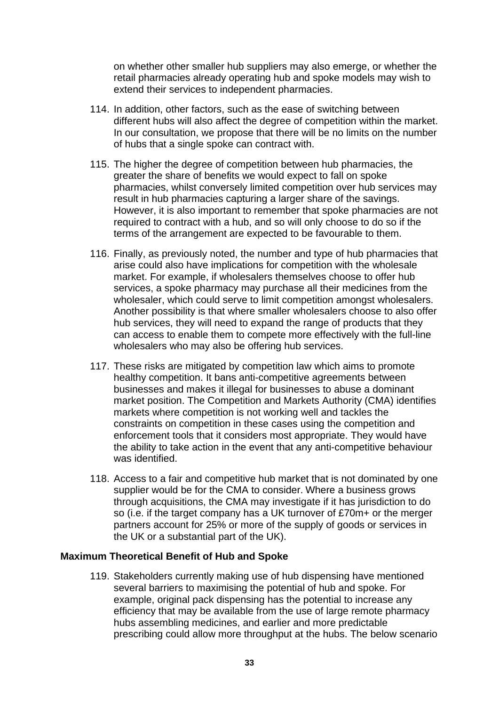on whether other smaller hub suppliers may also emerge, or whether the retail pharmacies already operating hub and spoke models may wish to extend their services to independent pharmacies.

- 114. In addition, other factors, such as the ease of switching between different hubs will also affect the degree of competition within the market. In our consultation, we propose that there will be no limits on the number of hubs that a single spoke can contract with.
- 115. The higher the degree of competition between hub pharmacies, the greater the share of benefits we would expect to fall on spoke pharmacies, whilst conversely limited competition over hub services may result in hub pharmacies capturing a larger share of the savings. However, it is also important to remember that spoke pharmacies are not required to contract with a hub, and so will only choose to do so if the terms of the arrangement are expected to be favourable to them.
- 116. Finally, as previously noted, the number and type of hub pharmacies that arise could also have implications for competition with the wholesale market. For example, if wholesalers themselves choose to offer hub services, a spoke pharmacy may purchase all their medicines from the wholesaler, which could serve to limit competition amongst wholesalers. Another possibility is that where smaller wholesalers choose to also offer hub services, they will need to expand the range of products that they can access to enable them to compete more effectively with the full-line wholesalers who may also be offering hub services.
- 117. These risks are mitigated by competition law which aims to promote healthy competition. It bans anti-competitive agreements between businesses and makes it illegal for businesses to abuse a dominant market position. The Competition and Markets Authority (CMA) identifies markets where competition is not working well and tackles the constraints on competition in these cases using the competition and enforcement tools that it considers most appropriate. They would have the ability to take action in the event that any anti-competitive behaviour was identified.
- 118. Access to a fair and competitive hub market that is not dominated by one supplier would be for the CMA to consider. Where a business grows through acquisitions, the CMA may investigate if it has jurisdiction to do so (i.e. if the target company has a UK turnover of £70m+ or the merger partners account for 25% or more of the supply of goods or services in the UK or a substantial part of the UK).

#### **Maximum Theoretical Benefit of Hub and Spoke**

119. Stakeholders currently making use of hub dispensing have mentioned several barriers to maximising the potential of hub and spoke. For example, original pack dispensing has the potential to increase any efficiency that may be available from the use of large remote pharmacy hubs assembling medicines, and earlier and more predictable prescribing could allow more throughput at the hubs. The below scenario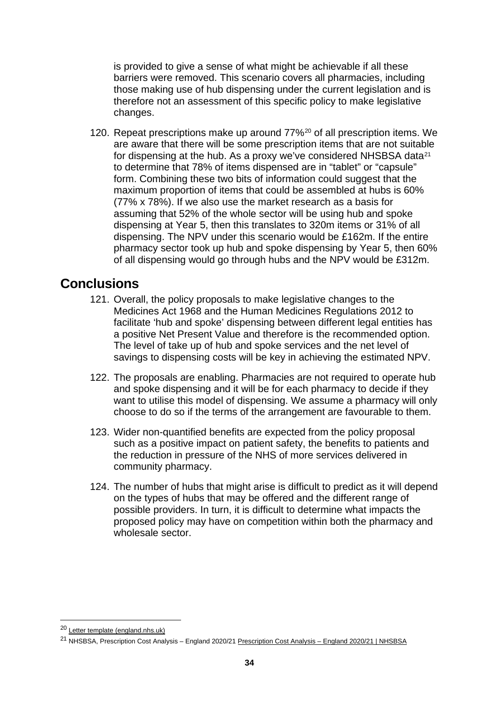is provided to give a sense of what might be achievable if all these barriers were removed. This scenario covers all pharmacies, including those making use of hub dispensing under the current legislation and is therefore not an assessment of this specific policy to make legislative changes.

120. Repeat prescriptions make up around 77%[20](#page-33-0) of all prescription items. We are aware that there will be some prescription items that are not suitable for dispensing at the hub. As a proxy we've considered NHSBSA data<sup>[21](#page-33-1)</sup> to determine that 78% of items dispensed are in "tablet" or "capsule" form. Combining these two bits of information could suggest that the maximum proportion of items that could be assembled at hubs is 60% (77% x 78%). If we also use the market research as a basis for assuming that 52% of the whole sector will be using hub and spoke dispensing at Year 5, then this translates to 320m items or 31% of all dispensing. The NPV under this scenario would be £162m. If the entire pharmacy sector took up hub and spoke dispensing by Year 5, then 60% of all dispensing would go through hubs and the NPV would be £312m.

# **Conclusions**

- 121. Overall, the policy proposals to make legislative changes to the Medicines Act 1968 and the Human Medicines Regulations 2012 to facilitate 'hub and spoke' dispensing between different legal entities has a positive Net Present Value and therefore is the recommended option. The level of take up of hub and spoke services and the net level of savings to dispensing costs will be key in achieving the estimated NPV.
- 122. The proposals are enabling. Pharmacies are not required to operate hub and spoke dispensing and it will be for each pharmacy to decide if they want to utilise this model of dispensing. We assume a pharmacy will only choose to do so if the terms of the arrangement are favourable to them.
- 123. Wider non-quantified benefits are expected from the policy proposal such as a positive impact on patient safety, the benefits to patients and the reduction in pressure of the NHS of more services delivered in community pharmacy.
- 124. The number of hubs that might arise is difficult to predict as it will depend on the types of hubs that may be offered and the different range of possible providers. In turn, it is difficult to determine what impacts the proposed policy may have on competition within both the pharmacy and wholesale sector.

<span id="page-33-0"></span><sup>20</sup> [Letter template \(england.nhs.uk\)](https://www.england.nhs.uk/coronavirus/wp-content/uploads/sites/52/2020/03/C0546-electronic-repeat-dispensing-letter-4-june-2020.pdf)

<span id="page-33-1"></span><sup>21</sup> NHSBSA, Prescription Cost Analysis – England 2020/21 [Prescription Cost Analysis –](https://www.nhsbsa.nhs.uk/statistical-collections/prescription-cost-analysis-england/prescription-cost-analysis-england-202021) England 2020/21 | NHSBSA